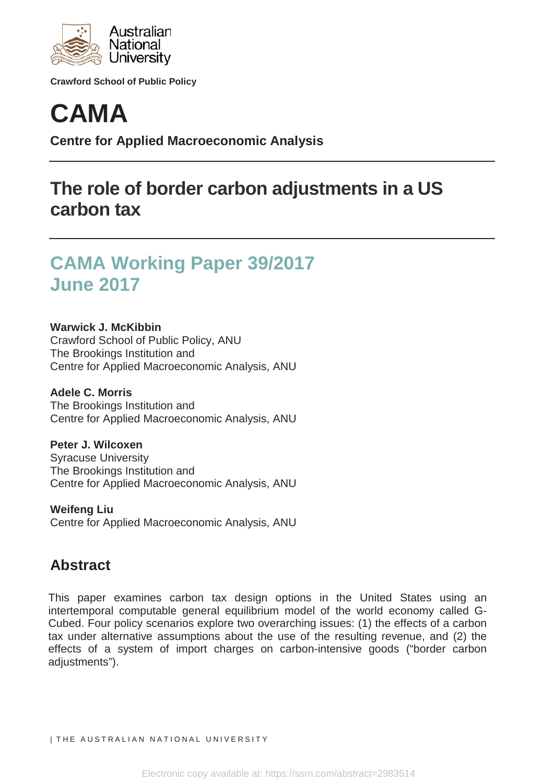

**Crawford School of Public Policy**



**Centre for Applied Macroeconomic Analysis**

## **The role of border carbon adjustments in a US carbon tax**

## **CAMA Working Paper 39/2017 June 2017**

**Warwick J. McKibbin** Crawford School of Public Policy, ANU The Brookings Institution and Centre for Applied Macroeconomic Analysis, ANU

**Adele C. Morris** The Brookings Institution and Centre for Applied Macroeconomic Analysis, ANU

**Peter J. Wilcoxen** Syracuse University The Brookings Institution and Centre for Applied Macroeconomic Analysis, ANU

**Weifeng Liu** Centre for Applied Macroeconomic Analysis, ANU

## **Abstract**

This paper examines carbon tax design options in the United States using an intertemporal computable general equilibrium model of the world economy called G-Cubed. Four policy scenarios explore two overarching issues: (1) the effects of a carbon tax under alternative assumptions about the use of the resulting revenue, and (2) the effects of a system of import charges on carbon-intensive goods ("border carbon adjustments").

| THE AUSTRALIAN NATIONAL UNIVERSITY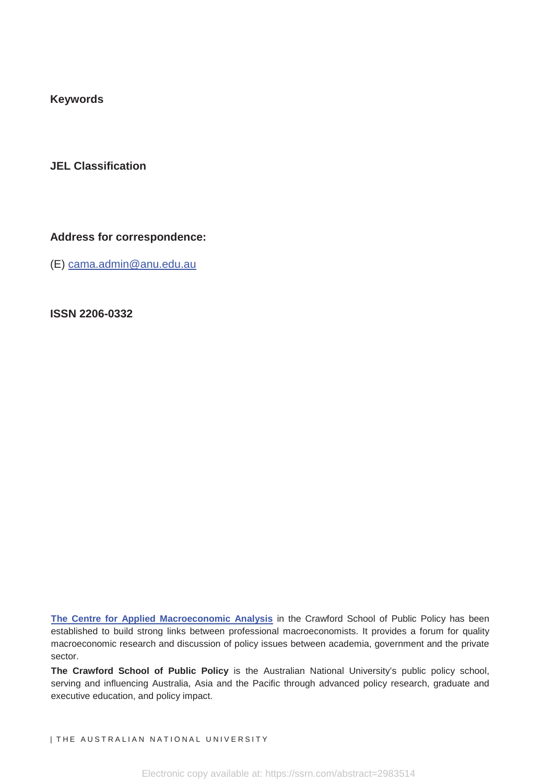**Keywords**

**JEL Classification**

### **Address for correspondence:**

(E) cama.admin@anu.edu.au

**ISSN 2206-0332**

**The Centre for Applied Macroeconomic Analysis** in the Crawford School of Public Policy has been established to build strong links between professional macroeconomists. It provides a forum for quality macroeconomic research and discussion of policy issues between academia, government and the private sector.

**The Crawford School of Public Policy** is the Australian National University's public policy school, serving and influencing Australia, Asia and the Pacific through advanced policy research, graduate and executive education, and policy impact.

| THE AUSTRALIAN NATIONAL UNIVERSITY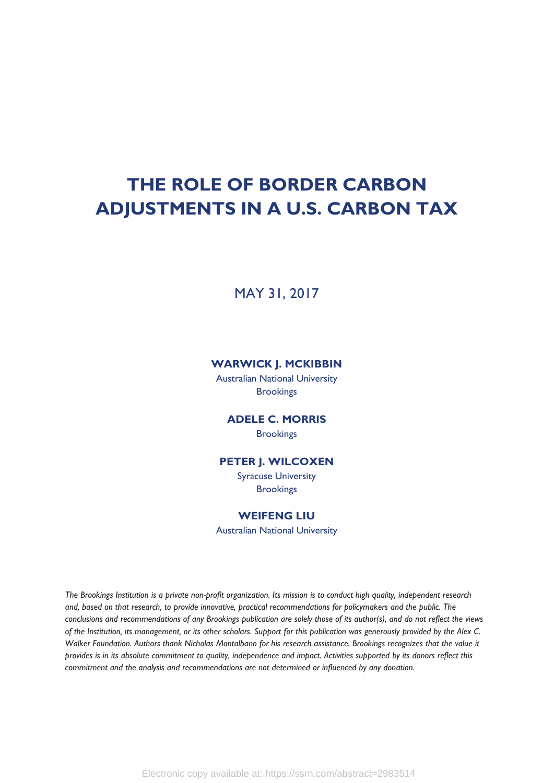# **THE ROLE OF BORDER CARBON ADJUSTMENTS IN A U.S. CARBON TAX**

MAY 31, 2017

## **WARWICK J. MCKIBBIN**

Australian National University Brookings

**ADELE C. MORRIS Brookings** 

#### **PETER J. WILCOXEN**

Syracuse University **Brookings** 

## **WEIFENG LIU**

Australian National University

*The Brookings Institution is a private non-profit organization. Its mission is to conduct high quality, independent research and, based on that research, to provide innovative, practical recommendations for policymakers and the public. The conclusions and recommendations of any Brookings publication are solely those of its author(s), and do not reflect the views of the Institution, its management, or its other scholars. Support for this publication was generously provided by the Alex C. Walker Foundation. Authors thank Nicholas Montalbano for his research assistance. Brookings recognizes that the value it provides is in its absolute commitment to quality, independence and impact. Activities supported by its donors reflect this commitment and the analysis and recommendations are not determined or influenced by any donation.*

Electronic copy available at: https://ssrn.com/abstract=2983514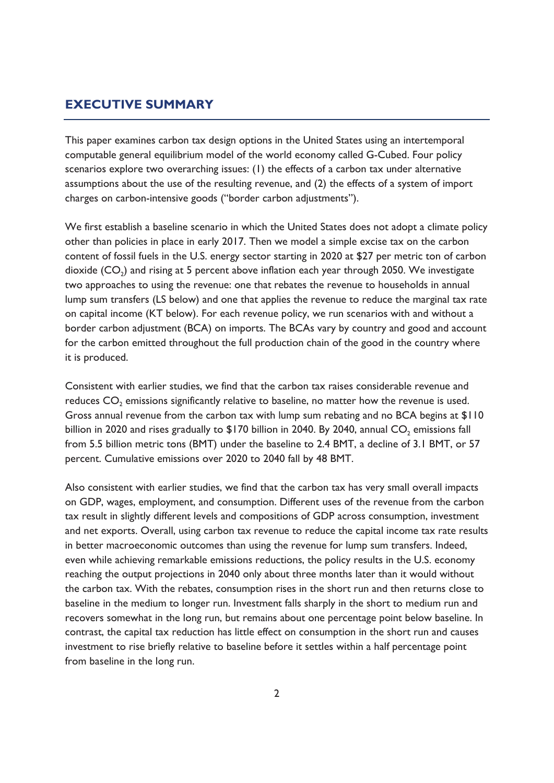## **EXECUTIVE SUMMARY**

This paper examines carbon tax design options in the United States using an intertemporal computable general equilibrium model of the world economy called G-Cubed. Four policy scenarios explore two overarching issues: (1) the effects of a carbon tax under alternative assumptions about the use of the resulting revenue, and (2) the effects of a system of import charges on carbon-intensive goods ("border carbon adjustments").

We first establish a baseline scenario in which the United States does not adopt a climate policy other than policies in place in early 2017. Then we model a simple excise tax on the carbon content of fossil fuels in the U.S. energy sector starting in 2020 at \$27 per metric ton of carbon dioxide  $(CO<sub>2</sub>)$  and rising at 5 percent above inflation each year through 2050. We investigate two approaches to using the revenue: one that rebates the revenue to households in annual lump sum transfers (LS below) and one that applies the revenue to reduce the marginal tax rate on capital income (KT below). For each revenue policy, we run scenarios with and without a border carbon adjustment (BCA) on imports. The BCAs vary by country and good and account for the carbon emitted throughout the full production chain of the good in the country where it is produced.

Consistent with earlier studies, we find that the carbon tax raises considerable revenue and reduces  $CO<sub>2</sub>$  emissions significantly relative to baseline, no matter how the revenue is used. Gross annual revenue from the carbon tax with lump sum rebating and no BCA begins at \$110 billion in 2020 and rises gradually to  $$170$  billion in 2040. By 2040, annual CO<sub>2</sub> emissions fall from 5.5 billion metric tons (BMT) under the baseline to 2.4 BMT, a decline of 3.1 BMT, or 57 percent. Cumulative emissions over 2020 to 2040 fall by 48 BMT.

Also consistent with earlier studies, we find that the carbon tax has very small overall impacts on GDP, wages, employment, and consumption. Different uses of the revenue from the carbon tax result in slightly different levels and compositions of GDP across consumption, investment and net exports. Overall, using carbon tax revenue to reduce the capital income tax rate results in better macroeconomic outcomes than using the revenue for lump sum transfers. Indeed, even while achieving remarkable emissions reductions, the policy results in the U.S. economy reaching the output projections in 2040 only about three months later than it would without the carbon tax. With the rebates, consumption rises in the short run and then returns close to baseline in the medium to longer run. Investment falls sharply in the short to medium run and recovers somewhat in the long run, but remains about one percentage point below baseline. In contrast, the capital tax reduction has little effect on consumption in the short run and causes investment to rise briefly relative to baseline before it settles within a half percentage point from baseline in the long run.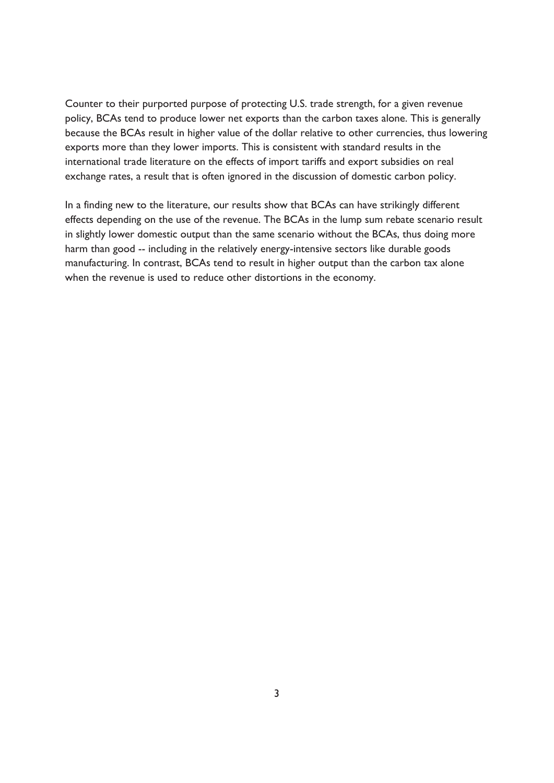Counter to their purported purpose of protecting U.S. trade strength, for a given revenue policy, BCAs tend to produce lower net exports than the carbon taxes alone. This is generally because the BCAs result in higher value of the dollar relative to other currencies, thus lowering exports more than they lower imports. This is consistent with standard results in the international trade literature on the effects of import tariffs and export subsidies on real exchange rates, a result that is often ignored in the discussion of domestic carbon policy.

In a finding new to the literature, our results show that BCAs can have strikingly different effects depending on the use of the revenue. The BCAs in the lump sum rebate scenario result in slightly lower domestic output than the same scenario without the BCAs, thus doing more harm than good -- including in the relatively energy-intensive sectors like durable goods manufacturing. In contrast, BCAs tend to result in higher output than the carbon tax alone when the revenue is used to reduce other distortions in the economy.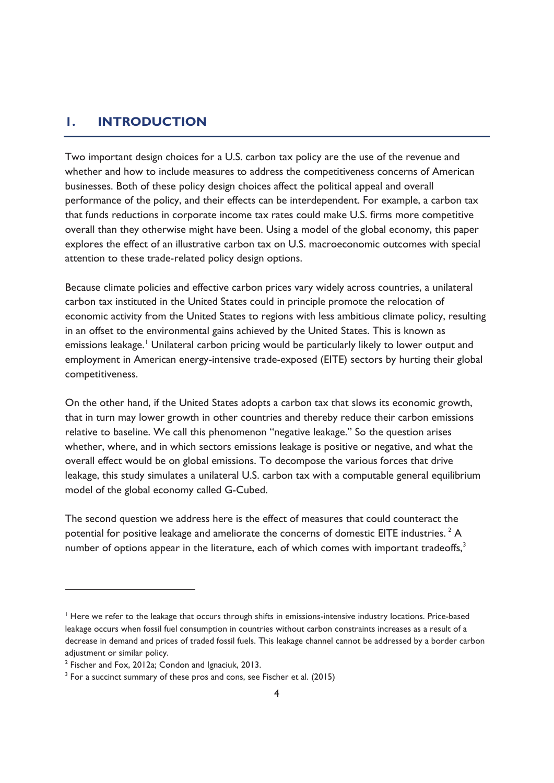## **1. INTRODUCTION**

Two important design choices for a U.S. carbon tax policy are the use of the revenue and whether and how to include measures to address the competitiveness concerns of American businesses. Both of these policy design choices affect the political appeal and overall performance of the policy, and their effects can be interdependent. For example, a carbon tax that funds reductions in corporate income tax rates could make U.S. firms more competitive overall than they otherwise might have been. Using a model of the global economy, this paper explores the effect of an illustrative carbon tax on U.S. macroeconomic outcomes with special attention to these trade-related policy design options.

Because climate policies and effective carbon prices vary widely across countries, a unilateral carbon tax instituted in the United States could in principle promote the relocation of economic activity from the United States to regions with less ambitious climate policy, resulting in an offset to the environmental gains achieved by the United States. This is known as emissions leakage.<sup>1</sup> Unilateral carbon pricing would be particularly likely to lower output and employment in American energy-intensive trade-exposed (EITE) sectors by hurting their global competitiveness.

On the other hand, if the United States adopts a carbon tax that slows its economic growth, that in turn may lower growth in other countries and thereby reduce their carbon emissions relative to baseline. We call this phenomenon "negative leakage." So the question arises whether, where, and in which sectors emissions leakage is positive or negative, and what the overall effect would be on global emissions. To decompose the various forces that drive leakage, this study simulates a unilateral U.S. carbon tax with a computable general equilibrium model of the global economy called G-Cubed.

The second question we address here is the effect of measures that could counteract the potential for positive leakage and ameliorate the concerns of domestic EITE industries. 2 A number of options appear in the literature, each of which comes with important tradeoffs,<sup>3</sup>

<sup>&</sup>lt;sup>1</sup> Here we refer to the leakage that occurs through shifts in emissions-intensive industry locations. Price-based leakage occurs when fossil fuel consumption in countries without carbon constraints increases as a result of a decrease in demand and prices of traded fossil fuels. This leakage channel cannot be addressed by a border carbon adjustment or similar policy.

<sup>&</sup>lt;sup>2</sup> Fischer and Fox, 2012a; Condon and Ignaciuk, 2013.

 $3$  For a succinct summary of these pros and cons, see Fischer et al. (2015)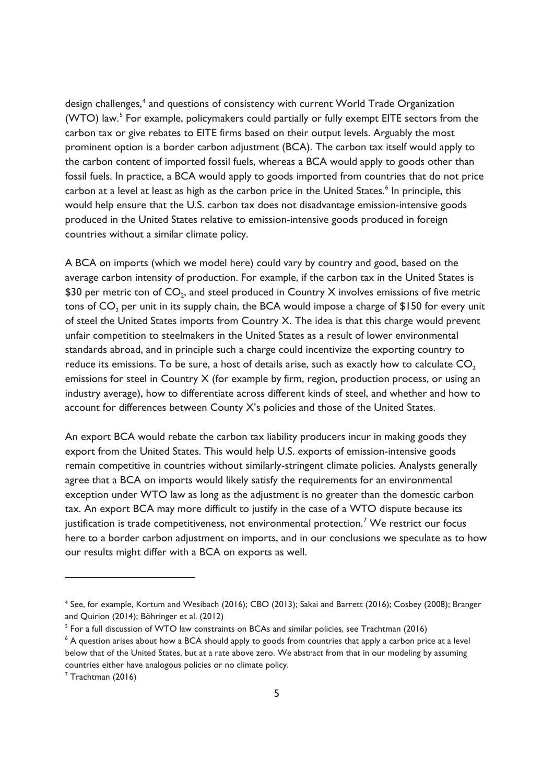design challenges,<sup>4</sup> and questions of consistency with current World Trade Organization (WTO) law.<sup>5</sup> For example, policymakers could partially or fully exempt EITE sectors from the carbon tax or give rebates to EITE firms based on their output levels. Arguably the most prominent option is a border carbon adjustment (BCA). The carbon tax itself would apply to the carbon content of imported fossil fuels, whereas a BCA would apply to goods other than fossil fuels. In practice, a BCA would apply to goods imported from countries that do not price carbon at a level at least as high as the carbon price in the United States.<sup>6</sup> In principle, this would help ensure that the U.S. carbon tax does not disadvantage emission-intensive goods produced in the United States relative to emission-intensive goods produced in foreign countries without a similar climate policy.

A BCA on imports (which we model here) could vary by country and good, based on the average carbon intensity of production. For example, if the carbon tax in the United States is \$30 per metric ton of  $CO<sub>2</sub>$ , and steel produced in Country X involves emissions of five metric tons of  $CO<sub>2</sub>$  per unit in its supply chain, the BCA would impose a charge of \$150 for every unit of steel the United States imports from Country X. The idea is that this charge would prevent unfair competition to steelmakers in the United States as a result of lower environmental standards abroad, and in principle such a charge could incentivize the exporting country to reduce its emissions. To be sure, a host of details arise, such as exactly how to calculate  $CO<sub>2</sub>$ emissions for steel in Country X (for example by firm, region, production process, or using an industry average), how to differentiate across different kinds of steel, and whether and how to account for differences between County X's policies and those of the United States.

An export BCA would rebate the carbon tax liability producers incur in making goods they export from the United States. This would help U.S. exports of emission-intensive goods remain competitive in countries without similarly-stringent climate policies. Analysts generally agree that a BCA on imports would likely satisfy the requirements for an environmental exception under WTO law as long as the adjustment is no greater than the domestic carbon tax. An export BCA may more difficult to justify in the case of a WTO dispute because its justification is trade competitiveness, not environmental protection.<sup>7</sup> We restrict our focus here to a border carbon adjustment on imports, and in our conclusions we speculate as to how our results might differ with a BCA on exports as well.

<sup>4</sup> See, for example, Kortum and Wesibach (2016); CBO (2013); Sakai and Barrett (2016); Cosbey (2008); Branger and Quirion (2014); Böhringer et al. (2012)

<sup>&</sup>lt;sup>5</sup> For a full discussion of WTO law constraints on BCAs and similar policies, see Trachtman (2016)

<sup>6</sup> A question arises about how a BCA should apply to goods from countries that apply a carbon price at a level below that of the United States, but at a rate above zero. We abstract from that in our modeling by assuming countries either have analogous policies or no climate policy.

 $7$  Trachtman (2016)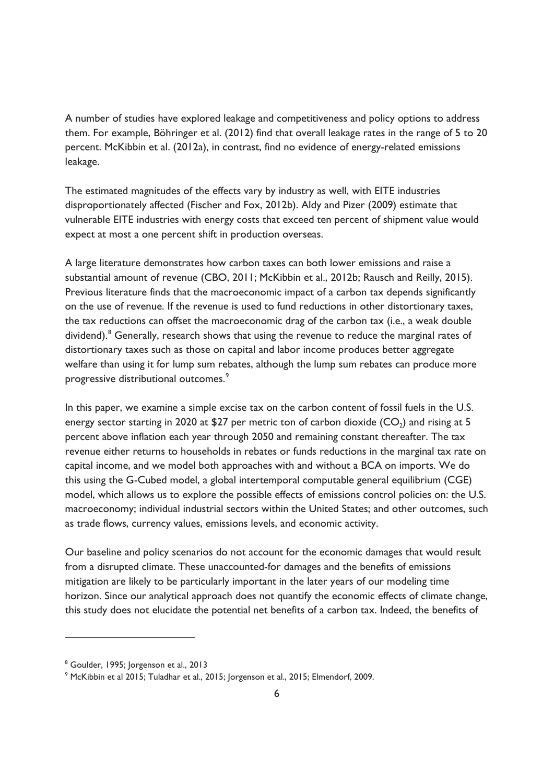A number of studies have explored leakage and competitiveness and policy options to address them. For example, Böhringer et al. (2012) find that overall leakage rates in the range of 5 to 20 percent. McKibbin et al. (2012a), in contrast, find no evidence of energy-related emissions leakage.

The estimated magnitudes of the effects vary by industry as well, with EITE industries disproportionately affected (Fischer and Fox, 2012b). Aldy and Pizer (2009) estimate that vulnerable EITE industries with energy costs that exceed ten percent of shipment value would expect at most a one percent shift in production overseas.

A large literature demonstrates how carbon taxes can both lower emissions and raise a substantial amount of revenue (CBO, 2011; McKibbin et al., 2012b; Rausch and Reilly, 2015). Previous literature finds that the macroeconomic impact of a carbon tax depends significantly on the use of revenue. If the revenue is used to fund reductions in other distortionary taxes, the tax reductions can offset the macroeconomic drag of the carbon tax (i.e., a weak double dividend).<sup>8</sup> Generally, research shows that using the revenue to reduce the marginal rates of distortionary taxes such as those on capital and labor income produces better aggregate welfare than using it for lump sum rebates, although the lump sum rebates can produce more progressive distributional outcomes.<sup>9</sup>

In this paper, we examine a simple excise tax on the carbon content of fossil fuels in the U.S. energy sector starting in 2020 at \$27 per metric ton of carbon dioxide  $(CO<sub>2</sub>)$  and rising at 5 percent above inflation each year through 2050 and remaining constant thereafter. The tax revenue either returns to households in rebates or funds reductions in the marginal tax rate on capital income, and we model both approaches with and without a BCA on imports. We do this using the G-Cubed model, a global intertemporal computable general equilibrium (CGE) model, which allows us to explore the possible effects of emissions control policies on: the U.S. macroeconomy; individual industrial sectors within the United States; and other outcomes, such as trade flows, currency values, emissions levels, and economic activity.

Our baseline and policy scenarios do not account for the economic damages that would result from a disrupted climate. These unaccounted-for damages and the benefits of emissions mitigation are likely to be particularly important in the later years of our modeling time horizon. Since our analytical approach does not quantify the economic effects of climate change, this study does not elucidate the potential net benefits of a carbon tax. Indeed, the benefits of

<sup>8</sup> Goulder, 1995; Jorgenson et al., 2013

<sup>9</sup> McKibbin et al 2015; Tuladhar et al., 2015; Jorgenson et al., 2015; Elmendorf, 2009.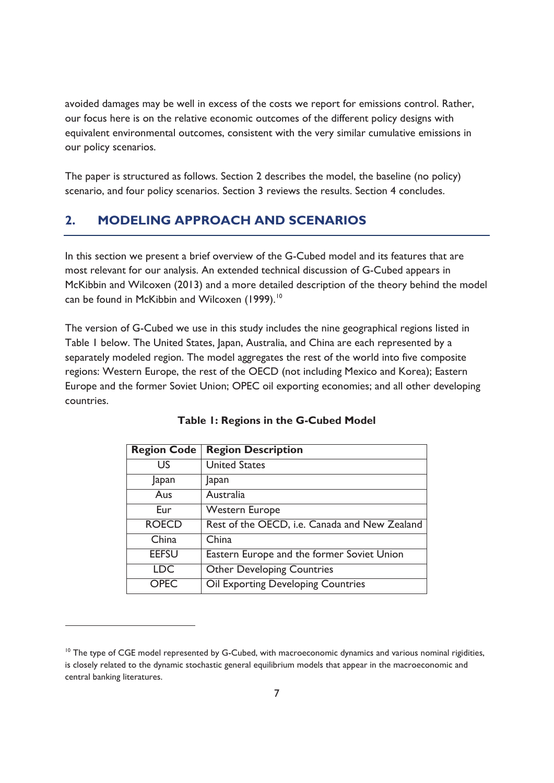avoided damages may be well in excess of the costs we report for emissions control. Rather, our focus here is on the relative economic outcomes of the different policy designs with equivalent environmental outcomes, consistent with the very similar cumulative emissions in our policy scenarios.

The paper is structured as follows. Section 2 describes the model, the baseline (no policy) scenario, and four policy scenarios. Section 3 reviews the results. Section 4 concludes.

## **2. MODELING APPROACH AND SCENARIOS**

In this section we present a brief overview of the G-Cubed model and its features that are most relevant for our analysis. An extended technical discussion of G-Cubed appears in McKibbin and Wilcoxen (2013) and a more detailed description of the theory behind the model can be found in McKibbin and Wilcoxen (1999).<sup>10</sup>

The version of G-Cubed we use in this study includes the nine geographical regions listed in Table 1 below. The United States, Japan, Australia, and China are each represented by a separately modeled region. The model aggregates the rest of the world into five composite regions: Western Europe, the rest of the OECD (not including Mexico and Korea); Eastern Europe and the former Soviet Union; OPEC oil exporting economies; and all other developing countries.

| <b>Region Code</b> | <b>Region Description</b>                     |
|--------------------|-----------------------------------------------|
| US                 | <b>United States</b>                          |
| Japan              | Japan                                         |
| Aus                | Australia                                     |
| Eur                | <b>Western Europe</b>                         |
| <b>ROECD</b>       | Rest of the OECD, i.e. Canada and New Zealand |
| China              | China                                         |
| <b>EEFSU</b>       | Eastern Europe and the former Soviet Union    |
| <b>LDC</b>         | <b>Other Developing Countries</b>             |
| <b>OPEC</b>        | <b>Oil Exporting Developing Countries</b>     |

## **Table 1: Regions in the G-Cubed Model**

<sup>&</sup>lt;sup>10</sup> The type of CGE model represented by G-Cubed, with macroeconomic dynamics and various nominal rigidities, is closely related to the dynamic stochastic general equilibrium models that appear in the macroeconomic and central banking literatures.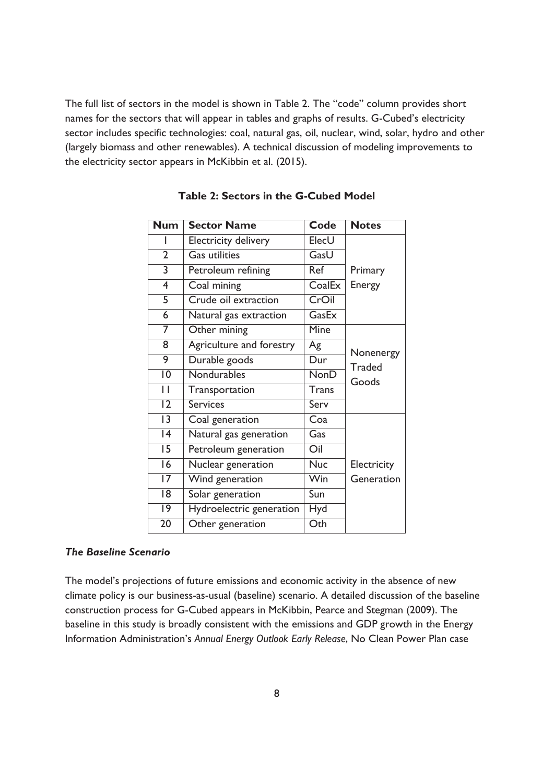The full list of sectors in the model is shown in Table 2. The "code" column provides short names for the sectors that will appear in tables and graphs of results. G-Cubed's electricity sector includes specific technologies: coal, natural gas, oil, nuclear, wind, solar, hydro and other (largely biomass and other renewables). A technical discussion of modeling improvements to the electricity sector appears in McKibbin et al. (2015).

| <b>Num</b>              | <b>Sector Name</b>       | Code              | <b>Notes</b>  |  |
|-------------------------|--------------------------|-------------------|---------------|--|
|                         | Electricity delivery     | ElecU             |               |  |
| $\overline{2}$          | <b>Gas utilities</b>     | GasU              |               |  |
| $\overline{3}$          | Petroleum refining       |                   | Primary       |  |
| $\overline{4}$          | Coal mining              | CoalEx            | Energy        |  |
| $\overline{5}$          | Crude oil extraction     | CrOil             |               |  |
| $\overline{6}$          | Natural gas extraction   | <b>GasEx</b>      |               |  |
| 7                       | Other mining             | Mine              |               |  |
| $\overline{8}$          | Agriculture and forestry | Ag                | Nonenergy     |  |
| 9                       | Durable goods            | Dur               | <b>Traded</b> |  |
| $\overline{10}$         | Nondurables              | <b>NonD</b>       | Goods         |  |
| $\overline{\mathsf{H}}$ | Transportation           | <b>Trans</b>      |               |  |
| $\overline{12}$         | <b>Services</b>          | Serv              |               |  |
| $\overline{13}$         | Coal generation          | Coa               |               |  |
| $\overline{14}$         | Natural gas generation   | Gas               |               |  |
| $\overline{15}$         | Petroleum generation     | $\overline{O}$ il |               |  |
| 16                      | Nuclear generation       | <b>Nuc</b>        | Electricity   |  |
| 17                      | Wind generation          | <b>Win</b>        | Generation    |  |
| 18                      | Solar generation         | Sun               |               |  |
| $\overline{19}$         | Hydroelectric generation | <b>Hyd</b>        |               |  |
| $\overline{20}$         | Other generation         | Oth               |               |  |

**Table 2: Sectors in the G-Cubed Model** 

## *The Baseline Scenario*

The model's projections of future emissions and economic activity in the absence of new climate policy is our business-as-usual (baseline) scenario. A detailed discussion of the baseline construction process for G-Cubed appears in McKibbin, Pearce and Stegman (2009). The baseline in this study is broadly consistent with the emissions and GDP growth in the Energy Information Administration's *Annual Energy Outlook Early Release*, No Clean Power Plan case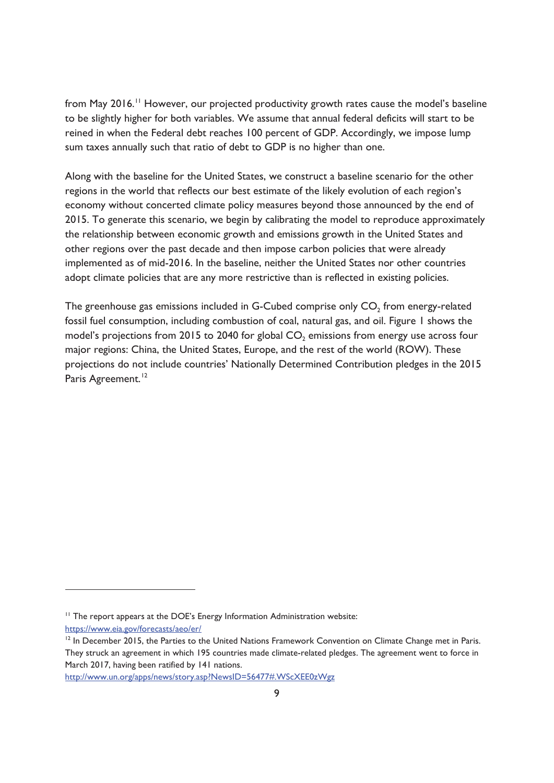from May 2016.<sup>11</sup> However, our projected productivity growth rates cause the model's baseline to be slightly higher for both variables. We assume that annual federal deficits will start to be reined in when the Federal debt reaches 100 percent of GDP. Accordingly, we impose lump sum taxes annually such that ratio of debt to GDP is no higher than one.

Along with the baseline for the United States, we construct a baseline scenario for the other regions in the world that reflects our best estimate of the likely evolution of each region's economy without concerted climate policy measures beyond those announced by the end of 2015. To generate this scenario, we begin by calibrating the model to reproduce approximately the relationship between economic growth and emissions growth in the United States and other regions over the past decade and then impose carbon policies that were already implemented as of mid-2016. In the baseline, neither the United States nor other countries adopt climate policies that are any more restrictive than is reflected in existing policies.

The greenhouse gas emissions included in G-Cubed comprise only CO<sub>2</sub> from energy-related fossil fuel consumption, including combustion of coal, natural gas, and oil. Figure 1 shows the model's projections from 2015 to 2040 for global  $CO<sub>2</sub>$  emissions from energy use across four major regions: China, the United States, Europe, and the rest of the world (ROW). These projections do not include countries' Nationally Determined Contribution pledges in the 2015 Paris Agreement.<sup>12</sup>

http://www.un.org/apps/news/story.asp?NewsID=56477#.WScXEE0zWgz

<sup>&</sup>lt;sup>11</sup> The report appears at the DOE's Energy Information Administration website:

https://www.eia.gov/forecasts/aeo/er/<br><sup>12</sup> In December 2015, the Parties to the United Nations Framework Convention on Climate Change met in Paris. They struck an agreement in which 195 countries made climate-related pledges. The agreement went to force in March 2017, having been ratified by 141 nations.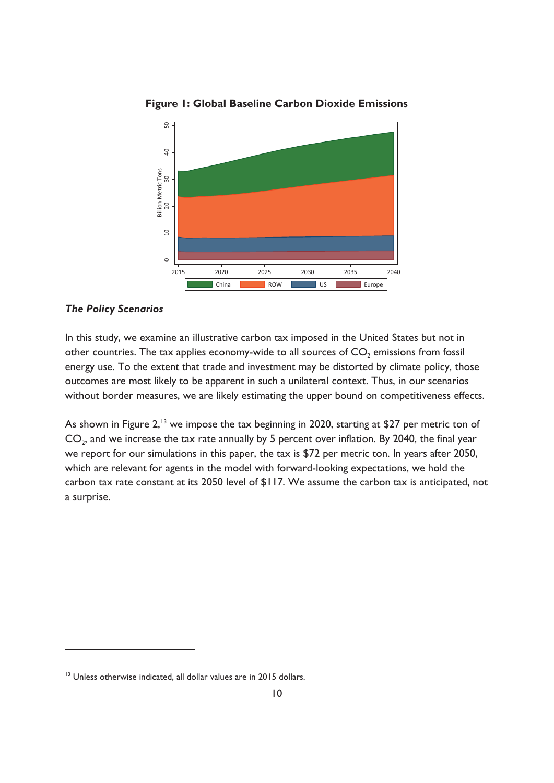

**Figure 1: Global Baseline Carbon Dioxide Emissions** 

#### *The Policy Scenarios*

 $\overline{a}$ 

In this study, we examine an illustrative carbon tax imposed in the United States but not in other countries. The tax applies economy-wide to all sources of  $CO<sub>2</sub>$  emissions from fossil energy use. To the extent that trade and investment may be distorted by climate policy, those outcomes are most likely to be apparent in such a unilateral context. Thus, in our scenarios without border measures, we are likely estimating the upper bound on competitiveness effects.

As shown in Figure 2,<sup>13</sup> we impose the tax beginning in 2020, starting at \$27 per metric ton of CO<sub>2</sub>, and we increase the tax rate annually by 5 percent over inflation. By 2040, the final year we report for our simulations in this paper, the tax is \$72 per metric ton. In years after 2050, which are relevant for agents in the model with forward-looking expectations, we hold the carbon tax rate constant at its 2050 level of \$117. We assume the carbon tax is anticipated, not a surprise.

<sup>&</sup>lt;sup>13</sup> Unless otherwise indicated, all dollar values are in 2015 dollars.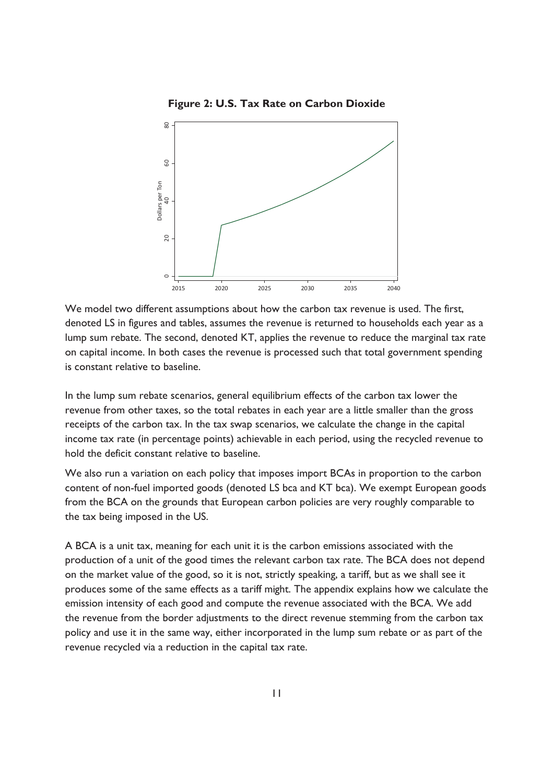**Figure 2: U.S. Tax Rate on Carbon Dioxide** 



We model two different assumptions about how the carbon tax revenue is used. The first, denoted LS in figures and tables, assumes the revenue is returned to households each year as a lump sum rebate. The second, denoted KT, applies the revenue to reduce the marginal tax rate on capital income. In both cases the revenue is processed such that total government spending is constant relative to baseline.

In the lump sum rebate scenarios, general equilibrium effects of the carbon tax lower the revenue from other taxes, so the total rebates in each year are a little smaller than the gross receipts of the carbon tax. In the tax swap scenarios, we calculate the change in the capital income tax rate (in percentage points) achievable in each period, using the recycled revenue to hold the deficit constant relative to baseline.

We also run a variation on each policy that imposes import BCAs in proportion to the carbon content of non-fuel imported goods (denoted LS bca and KT bca). We exempt European goods from the BCA on the grounds that European carbon policies are very roughly comparable to the tax being imposed in the US.

A BCA is a unit tax, meaning for each unit it is the carbon emissions associated with the production of a unit of the good times the relevant carbon tax rate. The BCA does not depend on the market value of the good, so it is not, strictly speaking, a tariff, but as we shall see it produces some of the same effects as a tariff might. The appendix explains how we calculate the emission intensity of each good and compute the revenue associated with the BCA. We add the revenue from the border adjustments to the direct revenue stemming from the carbon tax policy and use it in the same way, either incorporated in the lump sum rebate or as part of the revenue recycled via a reduction in the capital tax rate.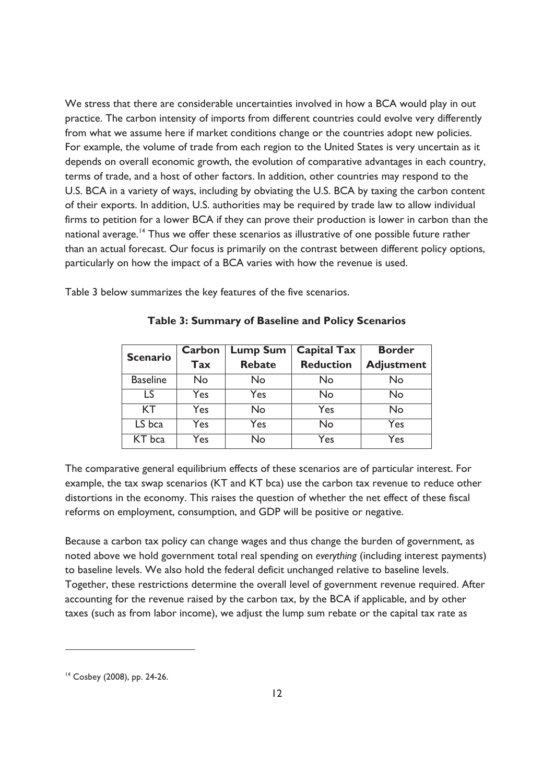We stress that there are considerable uncertainties involved in how a BCA would play in out practice. The carbon intensity of imports from different countries could evolve very differently from what we assume here if market conditions change or the countries adopt new policies. For example, the volume of trade from each region to the United States is very uncertain as it depends on overall economic growth, the evolution of comparative advantages in each country, terms of trade, and a host of other factors. In addition, other countries may respond to the U.S. BCA in a variety of ways, including by obviating the U.S. BCA by taxing the carbon content of their exports. In addition, U.S. authorities may be required by trade law to allow individual firms to petition for a lower BCA if they can prove their production is lower in carbon than the national average.<sup>14</sup> Thus we offer these scenarios as illustrative of one possible future rather than an actual forecast. Our focus is primarily on the contrast between different policy options, particularly on how the impact of a BCA varies with how the revenue is used.

Table 3 below summarizes the key features of the five scenarios.

| <b>Scenario</b> | Carbon     | <b>Lump Sum</b> | <b>Capital Tax</b> | <b>Border</b>     |
|-----------------|------------|-----------------|--------------------|-------------------|
|                 | <b>Tax</b> | <b>Rebate</b>   | <b>Reduction</b>   | <b>Adjustment</b> |
| <b>Baseline</b> | No         | No              | No                 | No                |
| LS              | Yes        | Yes             | No                 | No                |
| KT              | Yes        | No              | Yes                | No                |
| LS bca          | Yes        | Yes             | No                 | Yes               |
| KT bca          | Yes        | No              | Yes                | Yes               |

**Table 3: Summary of Baseline and Policy Scenarios** 

The comparative general equilibrium effects of these scenarios are of particular interest. For example, the tax swap scenarios (KT and KT bca) use the carbon tax revenue to reduce other distortions in the economy. This raises the question of whether the net effect of these fiscal reforms on employment, consumption, and GDP will be positive or negative.

Because a carbon tax policy can change wages and thus change the burden of government, as noted above we hold government total real spending on *everything* (including interest payments) to baseline levels. We also hold the federal deficit unchanged relative to baseline levels. Together, these restrictions determine the overall level of government revenue required. After accounting for the revenue raised by the carbon tax, by the BCA if applicable, and by other taxes (such as from labor income), we adjust the lump sum rebate or the capital tax rate as

<sup>14</sup> Cosbey (2008), pp. 24-26.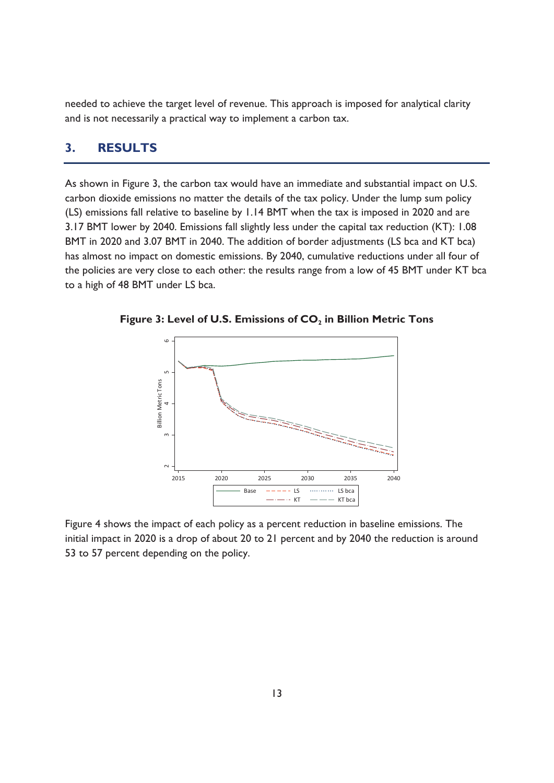needed to achieve the target level of revenue. This approach is imposed for analytical clarity and is not necessarily a practical way to implement a carbon tax.

## **3. RESULTS**

As shown in Figure 3, the carbon tax would have an immediate and substantial impact on U.S. carbon dioxide emissions no matter the details of the tax policy. Under the lump sum policy (LS) emissions fall relative to baseline by 1.14 BMT when the tax is imposed in 2020 and are 3.17 BMT lower by 2040. Emissions fall slightly less under the capital tax reduction (KT): 1.08 BMT in 2020 and 3.07 BMT in 2040. The addition of border adjustments (LS bca and KT bca) has almost no impact on domestic emissions. By 2040, cumulative reductions under all four of the policies are very close to each other: the results range from a low of 45 BMT under KT bca to a high of 48 BMT under LS bca.

Figure 3: Level of U.S. Emissions of CO<sub>2</sub> in Billion Metric Tons



Figure 4 shows the impact of each policy as a percent reduction in baseline emissions. The initial impact in 2020 is a drop of about 20 to 21 percent and by 2040 the reduction is around 53 to 57 percent depending on the policy.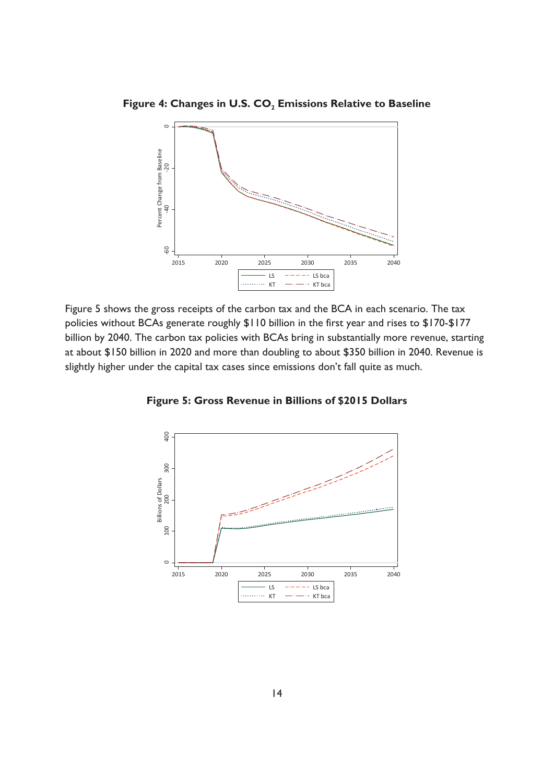Figure 4: Changes in U.S. CO<sub>2</sub> Emissions Relative to Baseline



Figure 5 shows the gross receipts of the carbon tax and the BCA in each scenario. The tax policies without BCAs generate roughly \$110 billion in the first year and rises to \$170-\$177 billion by 2040. The carbon tax policies with BCAs bring in substantially more revenue, starting at about \$150 billion in 2020 and more than doubling to about \$350 billion in 2040. Revenue is slightly higher under the capital tax cases since emissions don't fall quite as much.

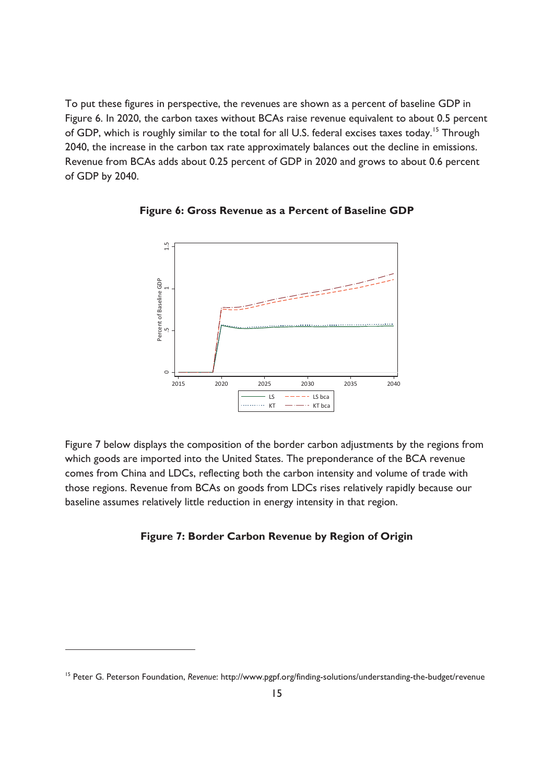To put these figures in perspective, the revenues are shown as a percent of baseline GDP in Figure 6. In 2020, the carbon taxes without BCAs raise revenue equivalent to about 0.5 percent of GDP, which is roughly similar to the total for all U.S. federal excises taxes today.<sup>15</sup> Through 2040, the increase in the carbon tax rate approximately balances out the decline in emissions. Revenue from BCAs adds about 0.25 percent of GDP in 2020 and grows to about 0.6 percent of GDP by 2040.



**Figure 6: Gross Revenue as a Percent of Baseline GDP** 

Figure 7 below displays the composition of the border carbon adjustments by the regions from which goods are imported into the United States. The preponderance of the BCA revenue comes from China and LDCs, reflecting both the carbon intensity and volume of trade with those regions. Revenue from BCAs on goods from LDCs rises relatively rapidly because our baseline assumes relatively little reduction in energy intensity in that region.

## **Figure 7: Border Carbon Revenue by Region of Origin**

<sup>15</sup> Peter G. Peterson Foundation, *Revenue*: http://www.pgpf.org/finding-solutions/understanding-the-budget/revenue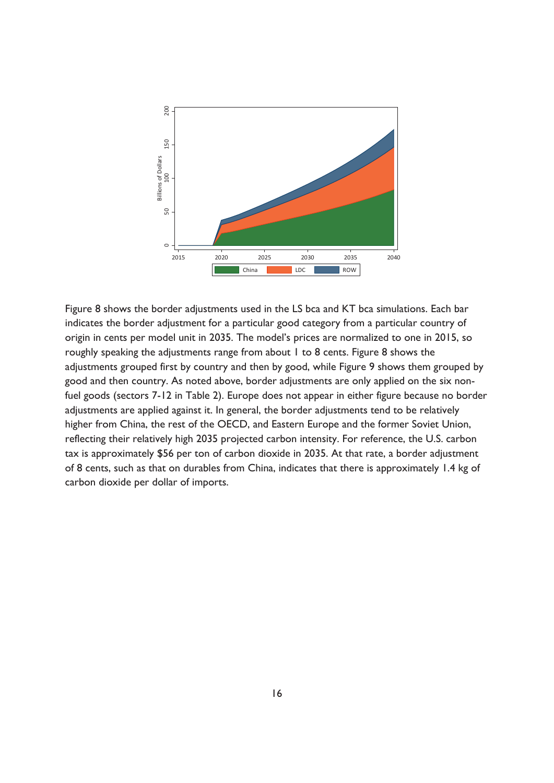

Figure 8 shows the border adjustments used in the LS bca and KT bca simulations. Each bar indicates the border adjustment for a particular good category from a particular country of origin in cents per model unit in 2035. The model's prices are normalized to one in 2015, so roughly speaking the adjustments range from about 1 to 8 cents. Figure 8 shows the adjustments grouped first by country and then by good, while Figure 9 shows them grouped by good and then country. As noted above, border adjustments are only applied on the six nonfuel goods (sectors 7-12 in Table 2). Europe does not appear in either figure because no border adjustments are applied against it. In general, the border adjustments tend to be relatively higher from China, the rest of the OECD, and Eastern Europe and the former Soviet Union, reflecting their relatively high 2035 projected carbon intensity. For reference, the U.S. carbon tax is approximately \$56 per ton of carbon dioxide in 2035. At that rate, a border adjustment of 8 cents, such as that on durables from China, indicates that there is approximately 1.4 kg of carbon dioxide per dollar of imports.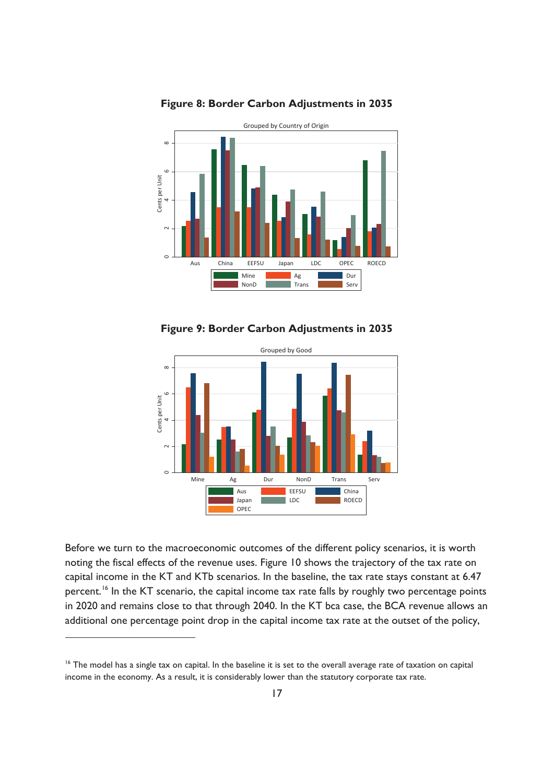

**Figure 8: Border Carbon Adjustments in 2035** 





Before we turn to the macroeconomic outcomes of the different policy scenarios, it is worth noting the fiscal effects of the revenue uses. Figure 10 shows the trajectory of the tax rate on capital income in the KT and KTb scenarios. In the baseline, the tax rate stays constant at 6.47 percent.<sup>16</sup> In the KT scenario, the capital income tax rate falls by roughly two percentage points in 2020 and remains close to that through 2040. In the KT bca case, the BCA revenue allows an additional one percentage point drop in the capital income tax rate at the outset of the policy,

<sup>&</sup>lt;sup>16</sup> The model has a single tax on capital. In the baseline it is set to the overall average rate of taxation on capital income in the economy. As a result, it is considerably lower than the statutory corporate tax rate.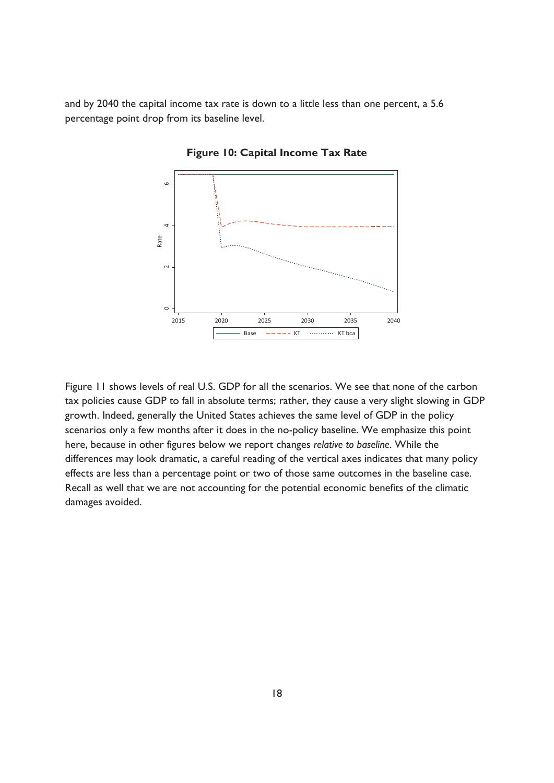and by 2040 the capital income tax rate is down to a little less than one percent, a 5.6 percentage point drop from its baseline level.



**Figure 10: Capital Income Tax Rate** 

Figure 11 shows levels of real U.S. GDP for all the scenarios. We see that none of the carbon tax policies cause GDP to fall in absolute terms; rather, they cause a very slight slowing in GDP growth. Indeed, generally the United States achieves the same level of GDP in the policy scenarios only a few months after it does in the no-policy baseline. We emphasize this point here, because in other figures below we report changes *relative to baseline*. While the differences may look dramatic, a careful reading of the vertical axes indicates that many policy effects are less than a percentage point or two of those same outcomes in the baseline case. Recall as well that we are not accounting for the potential economic benefits of the climatic damages avoided.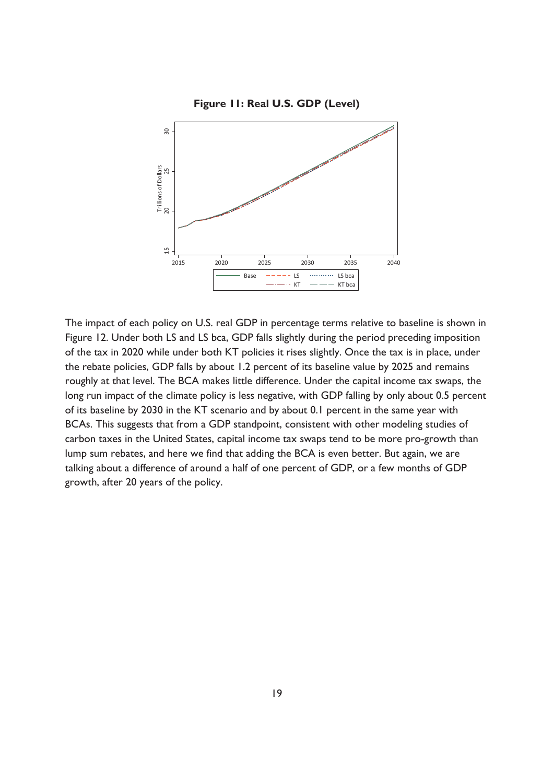

The impact of each policy on U.S. real GDP in percentage terms relative to baseline is shown in Figure 12. Under both LS and LS bca, GDP falls slightly during the period preceding imposition of the tax in 2020 while under both KT policies it rises slightly. Once the tax is in place, under the rebate policies, GDP falls by about 1.2 percent of its baseline value by 2025 and remains roughly at that level. The BCA makes little difference. Under the capital income tax swaps, the long run impact of the climate policy is less negative, with GDP falling by only about 0.5 percent of its baseline by 2030 in the KT scenario and by about 0.1 percent in the same year with BCAs. This suggests that from a GDP standpoint, consistent with other modeling studies of carbon taxes in the United States, capital income tax swaps tend to be more pro-growth than lump sum rebates, and here we find that adding the BCA is even better. But again, we are talking about a difference of around a half of one percent of GDP, or a few months of GDP The impact of each policy on U.S. re<br>Figure 12. Under both LS and LS bca<br>of the tax in 2020 while under both<br>the rebate policies, GDP falls by abo<br>roughly at that level. The BCA make<br>long run impact of the climate policy<br>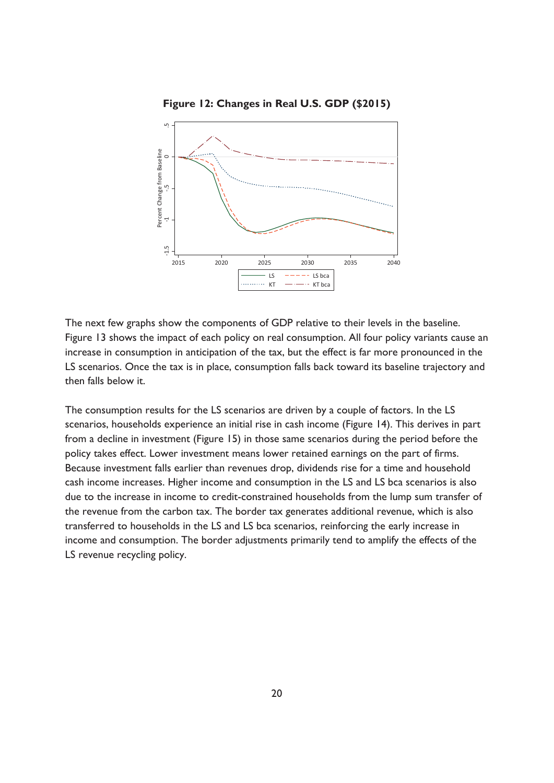

**Figure 12: Changes in Real U.S. GDP (\$2015)** 

The next few graphs show the components of GDP relative to their levels in the baseline. Figure 13 shows the impact of each policy on real consumption. All four policy variants cause an increase in consumption in anticipation of the tax, but the effect is far more pronounced in the LS scenarios. Once the tax is in place, consumption falls back toward its baseline trajectory and then falls below it.

The consumption results for the LS scenarios are driven by a couple of factors. In the LS scenarios, households experience an initial rise in cash income (Figure 14). This derives in part from a decline in investment (Figure 15) in those same scenarios during the period before the policy takes effect. Lower investment means lower retained earnings on the part of firms. Because investment falls earlier than revenues drop, dividends rise for a time and household cash income increases. Higher income and consumption in the LS and LS bca scenarios is also due to the increase in income to credit-constrained households from the lump sum transfer of the revenue from the carbon tax. The border tax generates additional revenue, which is also transferred to households in the LS and LS bca scenarios, reinforcing the early increase in income and consumption. The border adjustments primarily tend to amplify the effects of the The next few graphs show the same of the next few graphs show the same of the same of the same of the same of the consumption in a LS scenarios. Once the tax if then falls below it.<br>The consumption results for scenarios,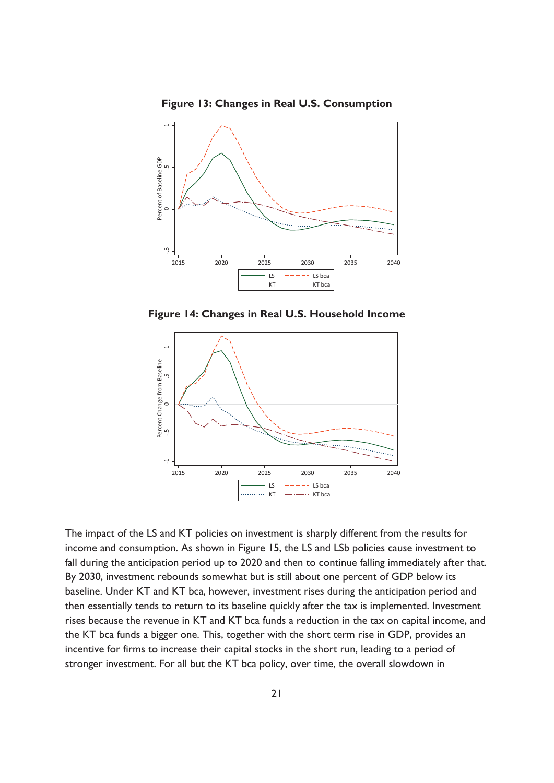**Figure 13: Changes in Real U.S. Consumption** 



**Figure 14: Changes in Real U.S. Household Income** 



The impact of the LS and KT policies on investment is sharply different from the results for income and consumption. As shown in Figure 15, the LS and LSb policies cause investment to fall during the anticipation period up to 2020 and then to continue falling immediately after that. By 2030, investment rebounds somewhat but is still about one percent of GDP below its baseline. Under KT and KT bca, however, investment rises during the anticipation period and then essentially tends to return to its baseline quickly after the tax is implemented. Investment rises because the revenue in KT and KT bca funds a reduction in the tax on capital income, and the KT bca funds a bigger one. This, together with the short term rise in GDP, provides an incentive for firms to increase their capital stocks in the short run, leading to a period of Stronger investment. For all but the KT bca, however, investment rises during the anticipation period but the KT bca funds a bigger one. This, orget be well as during the anticipation of Baseline GDP, provided by the over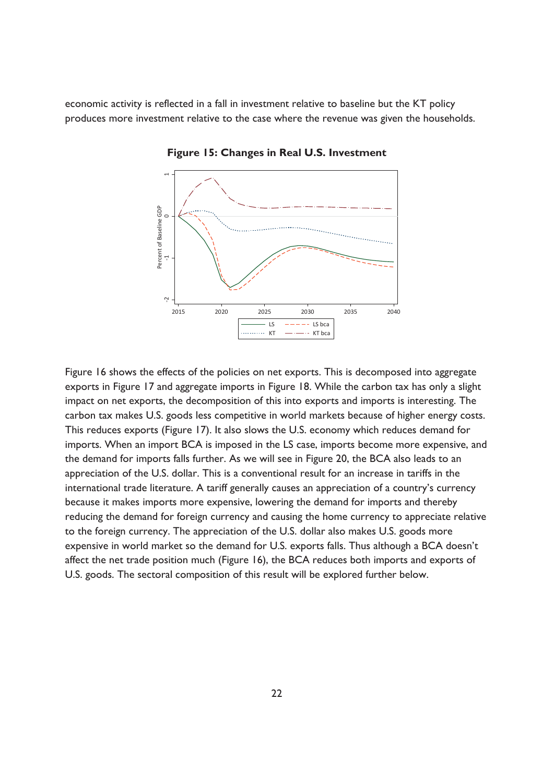economic activity is reflected in a fall in investment relative to baseline but the KT policy produces more investment relative to the case where the revenue was given the households.



**Figure 15: Changes in Real U.S. Investment** 

Figure 16 shows the effects of the policies on net exports. This is decomposed into aggregate exports in Figure 17 and aggregate imports in Figure 18. While the carbon tax has only a slight impact on net exports, the decomposition of this into exports and imports is interesting. The carbon tax makes U.S. goods less competitive in world markets because of higher energy costs. This reduces exports (Figure 17). It also slows the U.S. economy which reduces demand for imports. When an import BCA is imposed in the LS case, imports become more expensive, and the demand for imports falls further. As we will see in Figure 20, the BCA also leads to an appreciation of the U.S. dollar. This is a conventional result for an increase in tariffs in the international trade literature. A tariff generally causes an appreciation of a country's currency because it makes imports more expensive, lowering the demand for imports and thereby reducing the demand for foreign currency and causing the home currency to appreciate relative to the foreign currency. The appreciation of the U.S. dollar also makes U.S. goods more expensive in world market so the demand for U.S. exports falls. Thus although a BCA doesn't affect the net trade position much (Figure 16), the BCA reduces both imports and exports of Figure 16 shows the effects of the policies on net exports. This is decomposed into exports in Figure 17 and aggregate imports in Figure 18. While the carbon tax has a simpact on net exports, the decomposition of this inc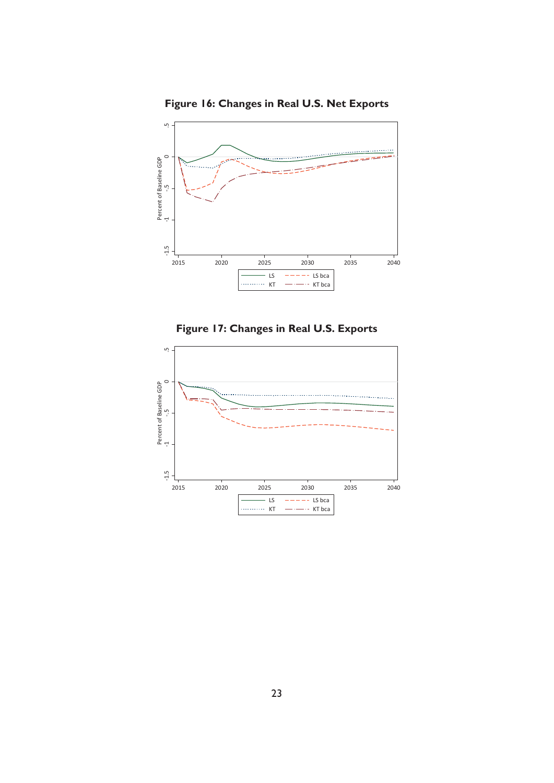

**Figure 16: Changes in Real U.S. Net Exports** 



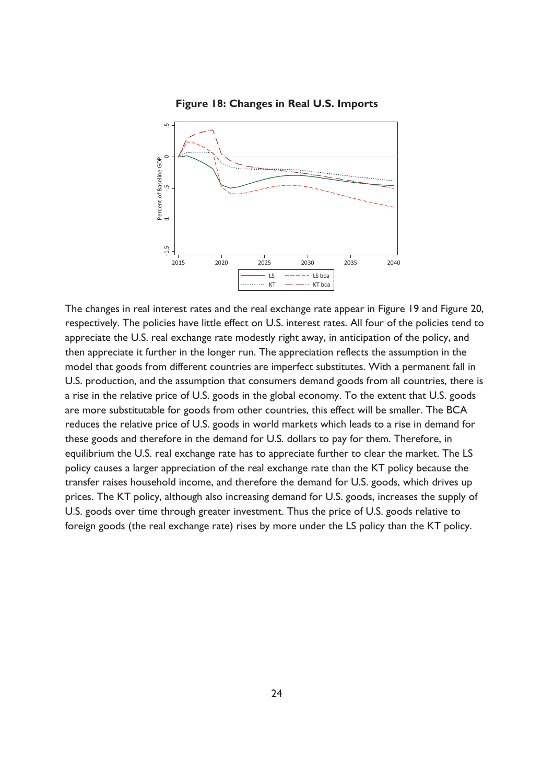

**Figure 18: Changes in Real U.S. Imports** 

The changes in real interest rates and the real exchange rate appear in Figure 19 and Figure 20, respectively. The policies have little effect on U.S. interest rates. All four of the policies tend to appreciate the U.S. real exchange rate modestly right away, in anticipation of the policy, and then appreciate it further in the longer run. The appreciation reflects the assumption in the model that goods from different countries are imperfect substitutes. With a permanent fall in U.S. production, and the assumption that consumers demand goods from all countries, there is a rise in the relative price of U.S. goods in the global economy. To the extent that U.S. goods are more substitutable for goods from other countries, this effect will be smaller. The BCA reduces the relative price of U.S. goods in world markets which leads to a rise in demand for these goods and therefore in the demand for U.S. dollars to pay for them. Therefore, in equilibrium the U.S. real exchange rate has to appreciate further to clear the market. The LS policy causes a larger appreciation of the real exchange rate than the KT policy because the transfer raises household income, and therefore the demand for U.S. goods, which drives up prices. The KT policy, although also increasing demand for U.S. goods, increases the supply of U.S. goods over time through greater investment. Thus the price of U.S. goods relative to The changes in real interest rates and the real exchange rate appear in Figure 19 and Figure 2<br>
The changes in real interest rates and the real exchange rate appear in Figure 19 and Figure 2<br>
The changes in real interest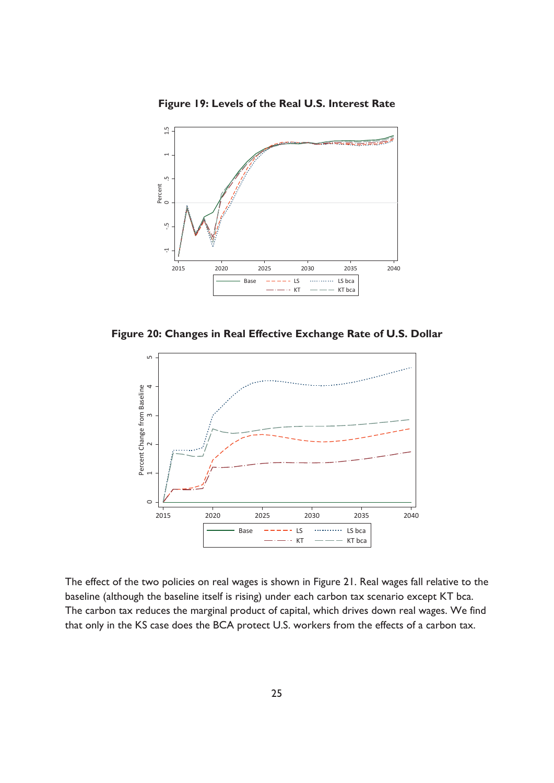

**Figure 19: Levels of the Real U.S. Interest Rate** 

**Figure 20: Changes in Real Effective Exchange Rate of U.S. Dollar** 



The effect of the two policies on real wages is shown in Figure 21. Real wages fall relative to the baseline (although the baseline itself is rising) under each carbon tax scenario except KT bca. The carbon tax reduces the marginal product of capital, which drives down real wages. We find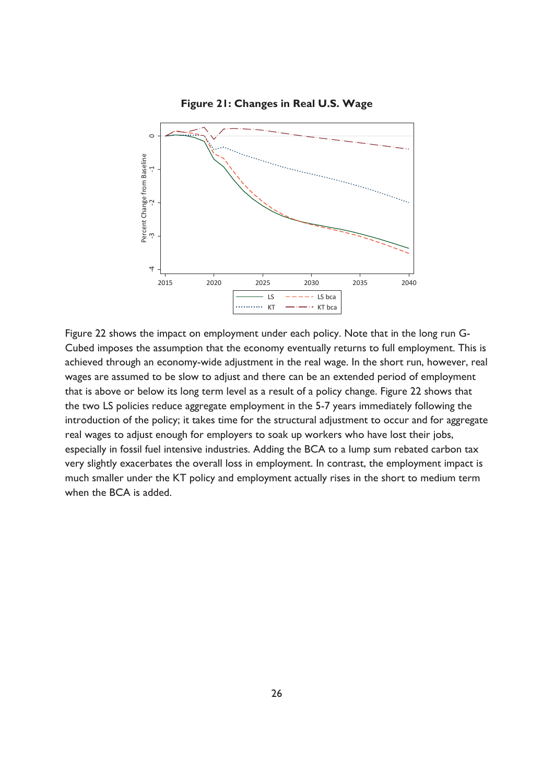

**Figure 21: Changes in Real U.S. Wage** 

Figure 22 shows the impact on employment under each policy. Note that in the long run G-Cubed imposes the assumption that the economy eventually returns to full employment. This is achieved through an economy-wide adjustment in the real wage. In the short run, however, real wages are assumed to be slow to adjust and there can be an extended period of employment that is above or below its long term level as a result of a policy change. Figure 22 shows that the two LS policies reduce aggregate employment in the 5-7 years immediately following the introduction of the policy; it takes time for the structural adjustment to occur and for aggregate real wages to adjust enough for employers to soak up workers who have lost their jobs, especially in fossil fuel intensive industries. Adding the BCA to a lump sum rebated carbon tax very slightly exacerbates the overall loss in employment. In contrast, the employment impact is much smaller under the KT policy and employment actually rises in the short to medium term Figure 22 shows the impact of the BCA is added.<br>
When the BCA is added.<br>
When the BCA is added.<br>
When the BCA is added.<br>
When the BCA is added.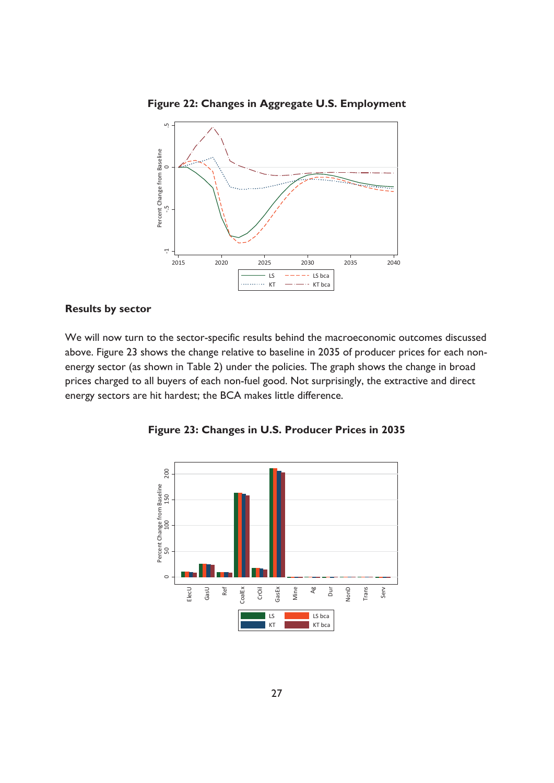

**Figure 22: Changes in Aggregate U.S. Employment** 

#### **Results by sector**

We will now turn to the sector-specific results behind the macroeconomic outcomes discussed above. Figure 23 shows the change relative to baseline in 2035 of producer prices for each nonenergy sector (as shown in Table 2) under the policies. The graph shows the change in broad prices charged to all buyers of each non-fuel good. Not surprisingly, the extractive and direct energy sectors are hit hardest; the BCA makes little difference.



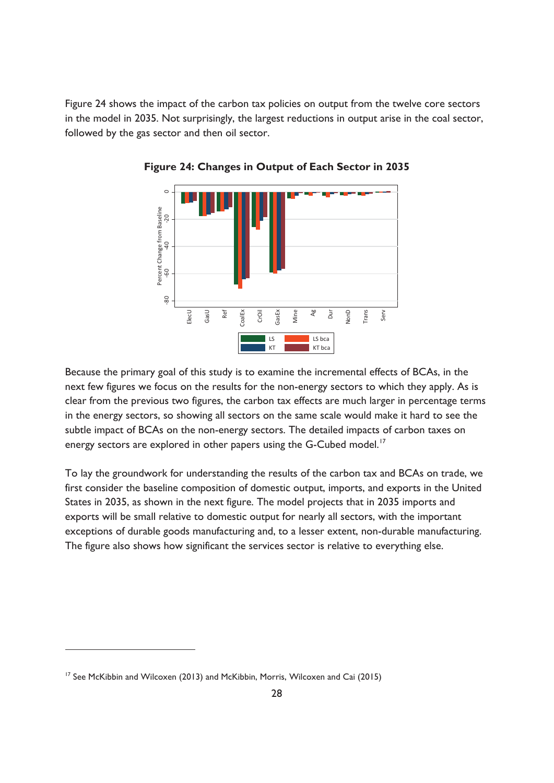Figure 24 shows the impact of the carbon tax policies on output from the twelve core sectors in the model in 2035. Not surprisingly, the largest reductions in output arise in the coal sector, followed by the gas sector and then oil sector.





Because the primary goal of this study is to examine the incremental effects of BCAs, in the next few figures we focus on the results for the non-energy sectors to which they apply. As is clear from the previous two figures, the carbon tax effects are much larger in percentage terms in the energy sectors, so showing all sectors on the same scale would make it hard to see the subtle impact of BCAs on the non-energy sectors. The detailed impacts of carbon taxes on energy sectors are explored in other papers using the G-Cubed model.<sup>17</sup>

To lay the groundwork for understanding the results of the carbon tax and BCAs on trade, we first consider the baseline composition of domestic output, imports, and exports in the United States in 2035, as shown in the next figure. The model projects that in 2035 imports and exports will be small relative to domestic output for nearly all sectors, with the important exceptions of durable goods manufacturing and, to a lesser extent, non-durable manufacturing. The figure also shows how significant the services sector is relative to everything else.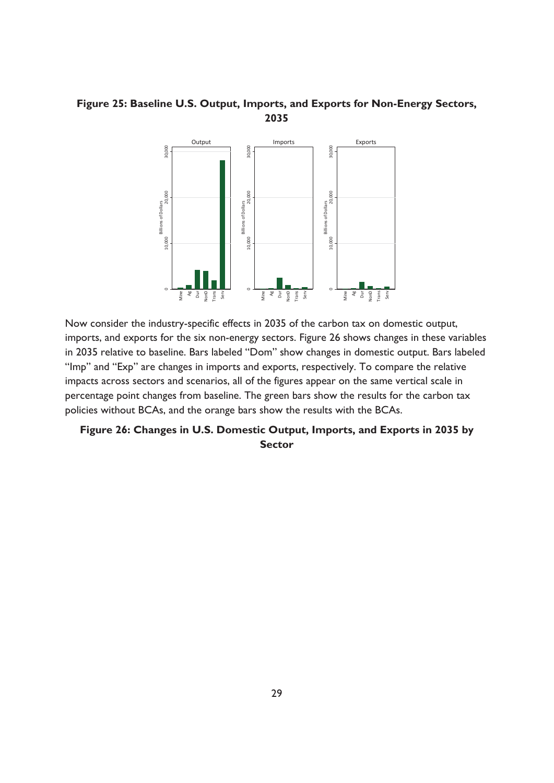## **Figure 25: Baseline U.S. Output, Imports, and Exports for Non-Energy Sectors, 2035**



Now consider the industry-specific effects in 2035 of the carbon tax on domestic output, imports, and exports for the six non-energy sectors. Figure 26 shows changes in these variables in 2035 relative to baseline. Bars labeled "Dom" show changes in domestic output. Bars labeled "Imp" and "Exp" are changes in imports and exports, respectively. To compare the relative impacts across sectors and scenarios, all of the figures appear on the same vertical scale in percentage point changes from baseline. The green bars show the results for the carbon tax policies without BCAs, and the orange bars show the results with the BCAs.

## **Figure 26: Changes in U.S. Domestic Output, Imports, and Exports in 2035 by Sector**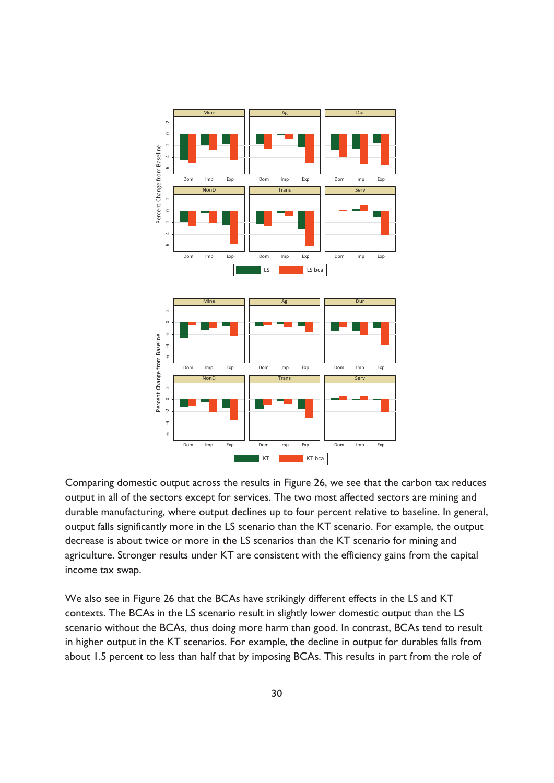

Comparing domestic output across the results in Figure 26, we see that the carbon tax reduces output in all of the sectors except for services. The two most affected sectors are mining and durable manufacturing, where output declines up to four percent relative to baseline. In general, output falls significantly more in the LS scenario than the KT scenario. For example, the output decrease is about twice or more in the LS scenarios than the KT scenario for mining and agriculture. Stronger results under KT are consistent with the efficiency gains from the capital income tax swap.

We also see in Figure 26 that the BCAs have strikingly different effects in the LS and KT contexts. The BCAs in the LS scenario result in slightly lower domestic output than the LS scenario without the BCAs, thus doing more harm than good. In contrast, BCAs tend to result in higher output in the KT scenarios. For example, the decline in output for durables falls from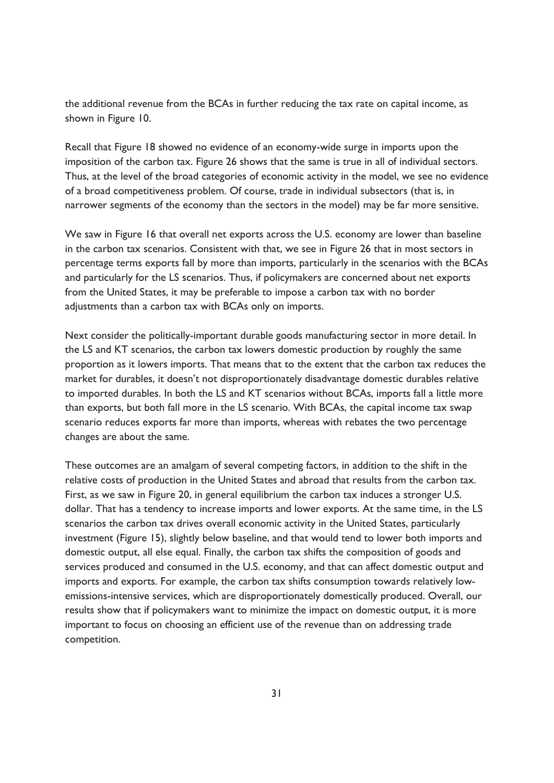the additional revenue from the BCAs in further reducing the tax rate on capital income, as shown in Figure 10.

Recall that Figure 18 showed no evidence of an economy-wide surge in imports upon the imposition of the carbon tax. Figure 26 shows that the same is true in all of individual sectors. Thus, at the level of the broad categories of economic activity in the model, we see no evidence of a broad competitiveness problem. Of course, trade in individual subsectors (that is, in narrower segments of the economy than the sectors in the model) may be far more sensitive.

We saw in Figure 16 that overall net exports across the U.S. economy are lower than baseline in the carbon tax scenarios. Consistent with that, we see in Figure 26 that in most sectors in percentage terms exports fall by more than imports, particularly in the scenarios with the BCAs and particularly for the LS scenarios. Thus, if policymakers are concerned about net exports from the United States, it may be preferable to impose a carbon tax with no border adjustments than a carbon tax with BCAs only on imports.

Next consider the politically-important durable goods manufacturing sector in more detail. In the LS and KT scenarios, the carbon tax lowers domestic production by roughly the same proportion as it lowers imports. That means that to the extent that the carbon tax reduces the market for durables, it doesn't not disproportionately disadvantage domestic durables relative to imported durables. In both the LS and KT scenarios without BCAs, imports fall a little more than exports, but both fall more in the LS scenario. With BCAs, the capital income tax swap scenario reduces exports far more than imports, whereas with rebates the two percentage changes are about the same.

These outcomes are an amalgam of several competing factors, in addition to the shift in the relative costs of production in the United States and abroad that results from the carbon tax. First, as we saw in Figure 20, in general equilibrium the carbon tax induces a stronger U.S. dollar. That has a tendency to increase imports and lower exports. At the same time, in the LS scenarios the carbon tax drives overall economic activity in the United States, particularly investment (Figure 15), slightly below baseline, and that would tend to lower both imports and domestic output, all else equal. Finally, the carbon tax shifts the composition of goods and services produced and consumed in the U.S. economy, and that can affect domestic output and imports and exports. For example, the carbon tax shifts consumption towards relatively lowemissions-intensive services, which are disproportionately domestically produced. Overall, our results show that if policymakers want to minimize the impact on domestic output, it is more important to focus on choosing an efficient use of the revenue than on addressing trade competition.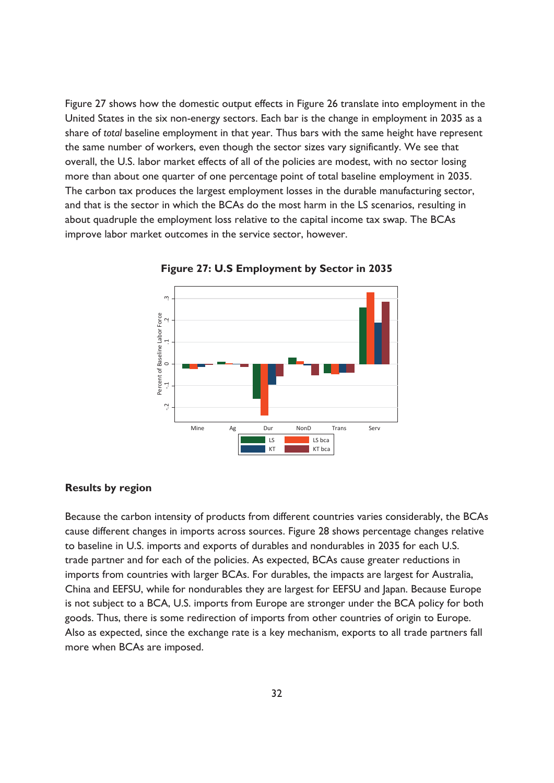Figure 27 shows how the domestic output effects in Figure 26 translate into employment in the United States in the six non-energy sectors. Each bar is the change in employment in 2035 as a share of *total* baseline employment in that year. Thus bars with the same height have represent the same number of workers, even though the sector sizes vary significantly. We see that overall, the U.S. labor market effects of all of the policies are modest, with no sector losing more than about one quarter of one percentage point of total baseline employment in 2035. The carbon tax produces the largest employment losses in the durable manufacturing sector, and that is the sector in which the BCAs do the most harm in the LS scenarios, resulting in about quadruple the employment loss relative to the capital income tax swap. The BCAs improve labor market outcomes in the service sector, however.



**Figure 27: U.S Employment by Sector in 2035** 

#### **Results by region**

Because the carbon intensity of products from different countries varies considerably, the BCAs cause different changes in imports across sources. Figure 28 shows percentage changes relative to baseline in U.S. imports and exports of durables and nondurables in 2035 for each U.S. trade partner and for each of the policies. As expected, BCAs cause greater reductions in imports from countries with larger BCAs. For durables, the impacts are largest for Australia, China and EEFSU, while for nondurables they are largest for EEFSU and Japan. Because Europe is not subject to a BCA, U.S. imports from Europe are stronger under the BCA policy for both goods. Thus, there is some redirection of imports from other countries of origin to Europe. Also as expected, since the exchange rate is a key mechanism, exports to all trade partners fall more when BCAs are imposed.<br>
Mine Baseline in U.S. imports and example in U.S. imports and example of the imports from countries with large and trade partner and for each of the imports from countries with large and trade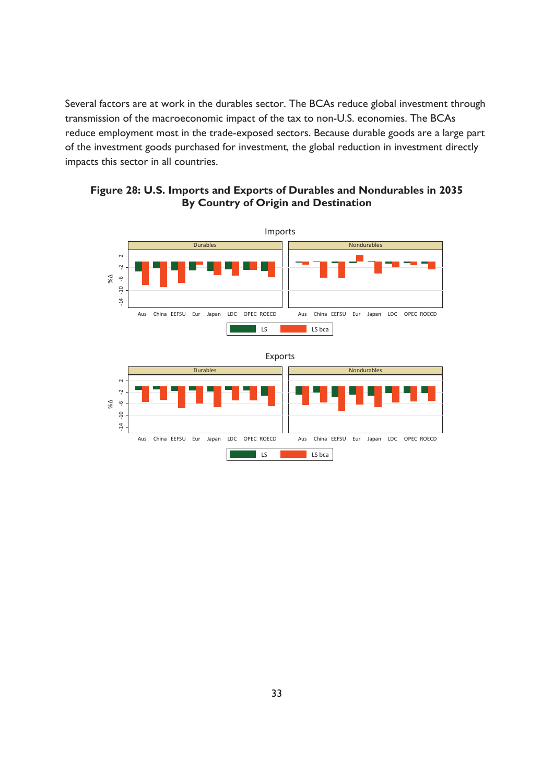Several factors are at work in the durables sector. The BCAs reduce global investment through transmission of the macroeconomic impact of the tax to non-U.S. economies. The BCAs reduce employment most in the trade-exposed sectors. Because durable goods are a large part of the investment goods purchased for investment, the global reduction in investment directly impacts this sector in all countries.







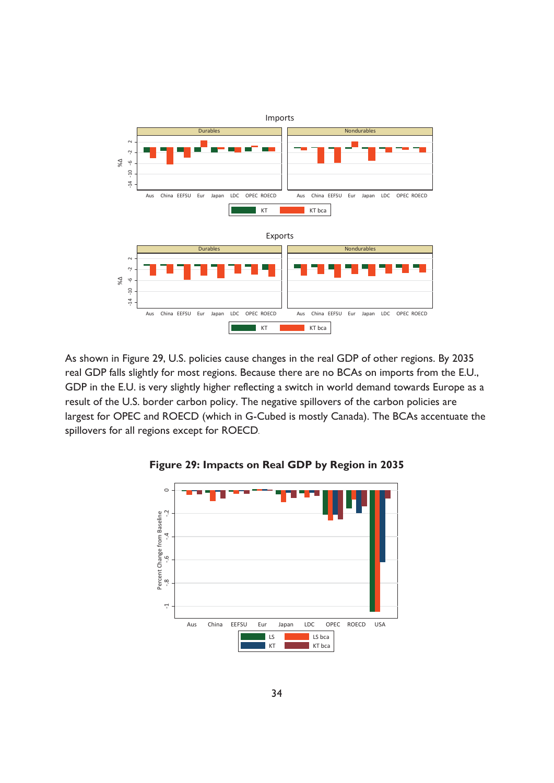

As shown in Figure 29, U.S. policies cause changes in the real GDP of other regions. By 2035 real GDP falls slightly for most regions. Because there are no BCAs on imports from the E.U., GDP in the E.U. is very slightly higher reflecting a switch in world demand towards Europe as a result of the U.S. border carbon policy. The negative spillovers of the carbon policies are largest for OPEC and ROECD (which in G-Cubed is mostly Canada). The BCAs accentuate the spillovers for all regions except for ROECD.



**Figure 29: Impacts on Real GDP by Region in 2035**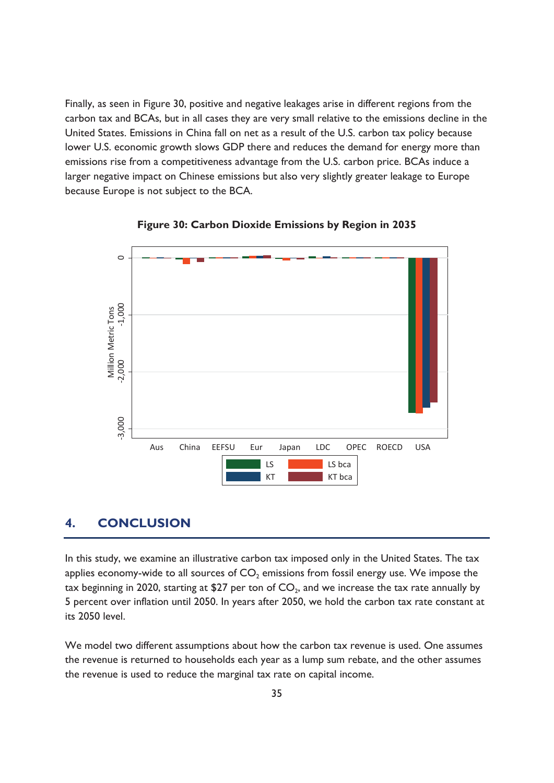Finally, as seen in Figure 30, positive and negative leakages arise in different regions from the carbon tax and BCAs, but in all cases they are very small relative to the emissions decline in the United States. Emissions in China fall on net as a result of the U.S. carbon tax policy because lower U.S. economic growth slows GDP there and reduces the demand for energy more than emissions rise from a competitiveness advantage from the U.S. carbon price. BCAs induce a larger negative impact on Chinese emissions but also very slightly greater leakage to Europe because Europe is not subject to the BCA.





## **4. CONCLUSION**

In this study, we examine an illustrative carbon tax imposed only in the United States. The tax applies economy-wide to all sources of  $CO<sub>2</sub>$  emissions from fossil energy use. We impose the tax beginning in 2020, starting at \$27 per ton of  $CO<sub>2</sub>$ , and we increase the tax rate annually by 5 percent over inflation until 2050. In years after 2050, we hold the carbon tax rate constant at its 2050 level.

We model two different assumptions about how the carbon tax revenue is used. One assumes the revenue is returned to households each year as a lump sum rebate, and the other assumes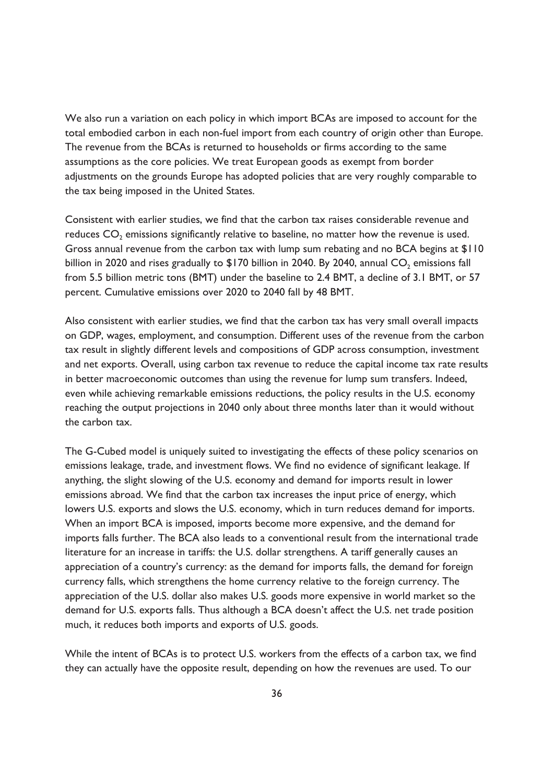We also run a variation on each policy in which import BCAs are imposed to account for the total embodied carbon in each non-fuel import from each country of origin other than Europe. The revenue from the BCAs is returned to households or firms according to the same assumptions as the core policies. We treat European goods as exempt from border adjustments on the grounds Europe has adopted policies that are very roughly comparable to the tax being imposed in the United States.

Consistent with earlier studies, we find that the carbon tax raises considerable revenue and reduces  $CO<sub>2</sub>$  emissions significantly relative to baseline, no matter how the revenue is used. Gross annual revenue from the carbon tax with lump sum rebating and no BCA begins at \$110 billion in 2020 and rises gradually to  $$170$  billion in 2040. By 2040, annual CO<sub>2</sub> emissions fall from 5.5 billion metric tons (BMT) under the baseline to 2.4 BMT, a decline of 3.1 BMT, or 57 percent. Cumulative emissions over 2020 to 2040 fall by 48 BMT.

Also consistent with earlier studies, we find that the carbon tax has very small overall impacts on GDP, wages, employment, and consumption. Different uses of the revenue from the carbon tax result in slightly different levels and compositions of GDP across consumption, investment and net exports. Overall, using carbon tax revenue to reduce the capital income tax rate results in better macroeconomic outcomes than using the revenue for lump sum transfers. Indeed, even while achieving remarkable emissions reductions, the policy results in the U.S. economy reaching the output projections in 2040 only about three months later than it would without the carbon tax.

The G-Cubed model is uniquely suited to investigating the effects of these policy scenarios on emissions leakage, trade, and investment flows. We find no evidence of significant leakage. If anything, the slight slowing of the U.S. economy and demand for imports result in lower emissions abroad. We find that the carbon tax increases the input price of energy, which lowers U.S. exports and slows the U.S. economy, which in turn reduces demand for imports. When an import BCA is imposed, imports become more expensive, and the demand for imports falls further. The BCA also leads to a conventional result from the international trade literature for an increase in tariffs: the U.S. dollar strengthens. A tariff generally causes an appreciation of a country's currency: as the demand for imports falls, the demand for foreign currency falls, which strengthens the home currency relative to the foreign currency. The appreciation of the U.S. dollar also makes U.S. goods more expensive in world market so the demand for U.S. exports falls. Thus although a BCA doesn't affect the U.S. net trade position much, it reduces both imports and exports of U.S. goods.

While the intent of BCAs is to protect U.S. workers from the effects of a carbon tax, we find they can actually have the opposite result, depending on how the revenues are used. To our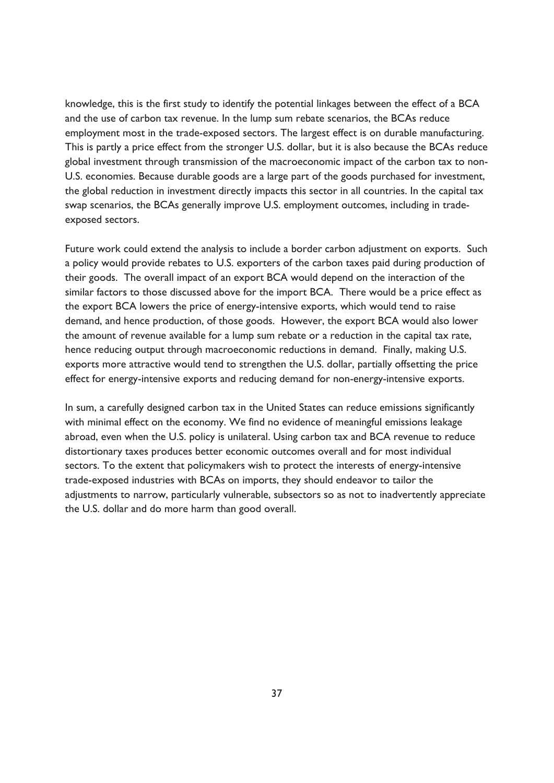knowledge, this is the first study to identify the potential linkages between the effect of a BCA and the use of carbon tax revenue. In the lump sum rebate scenarios, the BCAs reduce employment most in the trade-exposed sectors. The largest effect is on durable manufacturing. This is partly a price effect from the stronger U.S. dollar, but it is also because the BCAs reduce global investment through transmission of the macroeconomic impact of the carbon tax to non-U.S. economies. Because durable goods are a large part of the goods purchased for investment, the global reduction in investment directly impacts this sector in all countries. In the capital tax swap scenarios, the BCAs generally improve U.S. employment outcomes, including in tradeexposed sectors.

Future work could extend the analysis to include a border carbon adjustment on exports. Such a policy would provide rebates to U.S. exporters of the carbon taxes paid during production of their goods. The overall impact of an export BCA would depend on the interaction of the similar factors to those discussed above for the import BCA. There would be a price effect as the export BCA lowers the price of energy-intensive exports, which would tend to raise demand, and hence production, of those goods. However, the export BCA would also lower the amount of revenue available for a lump sum rebate or a reduction in the capital tax rate, hence reducing output through macroeconomic reductions in demand. Finally, making U.S. exports more attractive would tend to strengthen the U.S. dollar, partially offsetting the price effect for energy-intensive exports and reducing demand for non-energy-intensive exports.

In sum, a carefully designed carbon tax in the United States can reduce emissions significantly with minimal effect on the economy. We find no evidence of meaningful emissions leakage abroad, even when the U.S. policy is unilateral. Using carbon tax and BCA revenue to reduce distortionary taxes produces better economic outcomes overall and for most individual sectors. To the extent that policymakers wish to protect the interests of energy-intensive trade-exposed industries with BCAs on imports, they should endeavor to tailor the adjustments to narrow, particularly vulnerable, subsectors so as not to inadvertently appreciate the U.S. dollar and do more harm than good overall.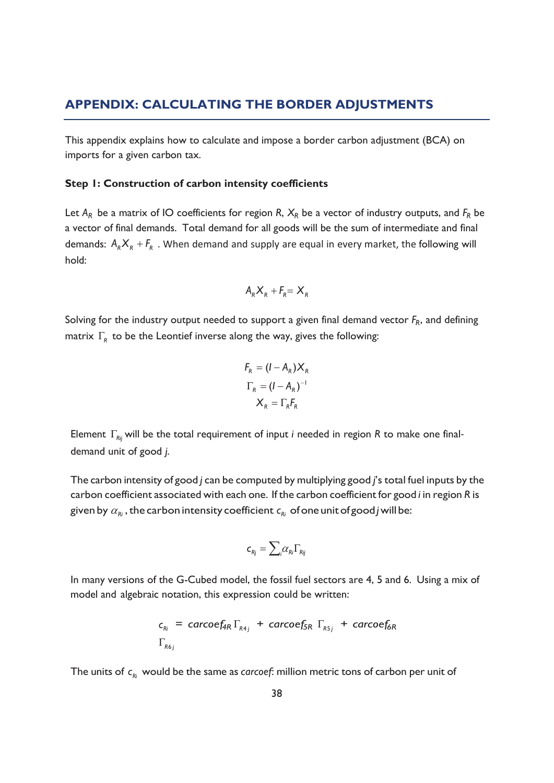## **APPENDIX: CALCULATING THE BORDER ADJUSTMENTS**

This appendix explains how to calculate and impose a border carbon adjustment (BCA) on imports for a given carbon tax.

#### **Step 1: Construction of carbon intensity coefficients**

Let *AR* be a matrix of IO coefficients for region *R*, *XR* be a vector of industry outputs, and *FR* be a vector of final demands. Total demand for all goods will be the sum of intermediate and final demands:  $A_R X_R + F_R$ . When demand and supply are equal in every market, the following will hold:

$$
A_R X_R + F_R = X_R
$$

Solving for the industry output needed to support a given final demand vector *FR* , and defining matrix  $\Gamma_R$  to be the Leontief inverse along the way, gives the following:

$$
F_R = (I - A_R)X_R
$$
  
\n
$$
\Gamma_R = (I - A_R)^{-1}
$$
  
\n
$$
X_R = \Gamma_R F_R
$$

Element  $\Gamma_{Rii}$  will be the total requirement of input *i* needed in region *R* to make one finaldemand unit of good *j*.

The carbon intensity of good *j* can be computed by multiplying good *j*'s total fuel inputs by the carbon coefficient associated with each one. If the carbon coefficient for good *i* in region *R* is given by  $\alpha_{\text{R}i}$ , the carbon intensity coefficient  $c_{\text{R}i}$  of one unit of good *j* will be:

$$
\mathbf{c}_{Rj} = \sum_i \alpha_{Ri} \Gamma_{Rij}
$$

In many versions of the G-Cubed model, the fossil fuel sectors are 4, 5 and 6. Using a mix of model and algebraic notation, this expression could be written:

$$
c_{Ri} = \text{carcoef}_{4R} \Gamma_{R4j} + \text{carcoef}_{5R} \Gamma_{R5j} + \text{carcoef}_{6R}
$$

$$
\Gamma_{R6j}
$$

The units of  $c_{Ri}$  would be the same as *carcoef*: million metric tons of carbon per unit of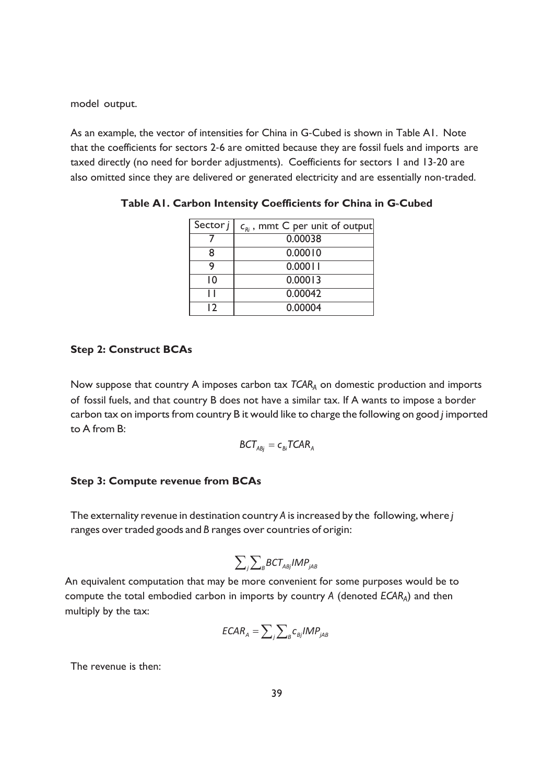model output.

As an example, the vector of intensities for China in G-Cubed is shown in Table A1. Note that the coefficients for sectors 2-6 are omitted because they are fossil fuels and imports are taxed directly (no need for border adjustments). Coefficients for sectors 1 and 13-20 are also omitted since they are delivered or generated electricity and are essentially non-traded.

| Sector <i>i</i> | $c_{\scriptscriptstyle{R}i}$ , mmt C per unit of output |
|-----------------|---------------------------------------------------------|
|                 | 0.00038                                                 |
|                 | 0.00010                                                 |
|                 | 0.00011                                                 |
| 10              | 0.00013                                                 |
|                 | 0.00042                                                 |
| ר ו             | 0.00004                                                 |

**Table A1. Carbon Intensity Coefficients for China in G**-**Cubed** 

## **Step 2: Construct BCAs**

Now suppose that country A imposes carbon tax *TCARA* on domestic production and imports of fossil fuels, and that country B does not have a similar tax. If A wants to impose a border carbon tax on imports from country B it would like to charge the following on good *j* imported to A from B:

$$
BCT_{ABj} = c_{Bi}TCAR_A
$$

#### **Step 3: Compute revenue from BCAs**

The externality revenue in destination country *A* is increased by the following, where *j*  ranges over traded goods and *B* ranges over countries of origin:

$$
\sum_{j} \sum_{B} BCT_{ABj}IMP_{jAB}
$$

An equivalent computation that may be more convenient for some purposes would be to compute the total embodied carbon in imports by country *A* (denoted *ECARA*) and then multiply by the tax:

$$
ECAR_{A} = \sum_{j} \sum_{B} c_{Bj} / MP_{jAB}
$$

The revenue is then: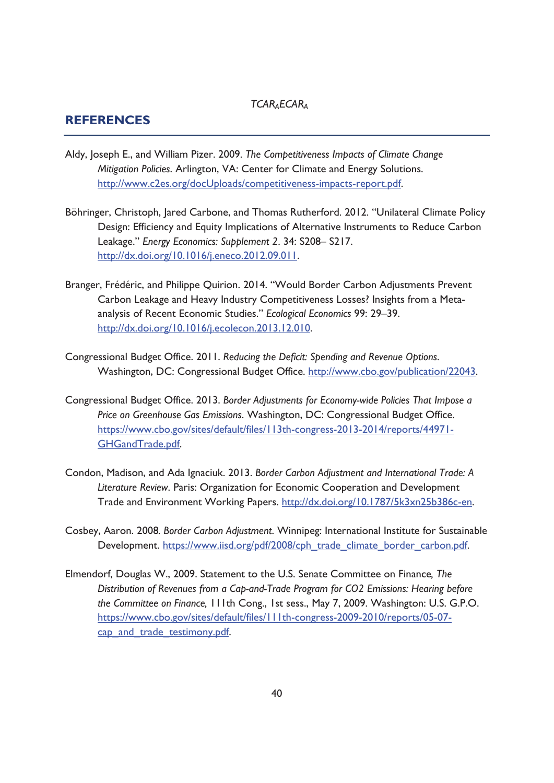#### *TCARAECARA*

## **REFERENCES**

- Aldy, Joseph E., and William Pizer. 2009. *The Competitiveness Impacts of Climate Change Mitigation Policies*. Arlington, VA: Center for Climate and Energy Solutions. http://www.c2es.org/docUploads/competitiveness-impacts-report.pdf.
- Böhringer, Christoph, Jared Carbone, and Thomas Rutherford. 2012. "Unilateral Climate Policy Design: Efficiency and Equity Implications of Alternative Instruments to Reduce Carbon Leakage." *Energy Economics: Supplement 2*. 34: S208– S217. http://dx.doi.org/10.1016/j.eneco.2012.09.011.
- Branger, Frédéric, and Philippe Quirion. 2014. "Would Border Carbon Adjustments Prevent Carbon Leakage and Heavy Industry Competitiveness Losses? Insights from a Metaanalysis of Recent Economic Studies." *Ecological Economics* 99: 29–39. http://dx.doi.org/10.1016/j.ecolecon.2013.12.010.
- Congressional Budget Office. 2011. *Reducing the Deficit: Spending and Revenue Options*. Washington, DC: Congressional Budget Office. http://www.cbo.gov/publication/22043.
- Congressional Budget Office. 2013. *Border Adjustments for Economy-wide Policies That Impose a Price on Greenhouse Gas Emissions*. Washington, DC: Congressional Budget Office. https://www.cbo.gov/sites/default/files/113th-congress-2013-2014/reports/44971- GHGandTrade.pdf.
- Condon, Madison, and Ada Ignaciuk. 2013. *Border Carbon Adjustment and International Trade: A Literature Review*. Paris: Organization for Economic Cooperation and Development Trade and Environment Working Papers. http://dx.doi.org/10.1787/5k3xn25b386c-en.
- Cosbey, Aaron. 2008*. Border Carbon Adjustment*. Winnipeg: International Institute for Sustainable Development. https://www.iisd.org/pdf/2008/cph\_trade\_climate\_border\_carbon.pdf.
- Elmendorf, Douglas W., 2009. Statement to the U.S. Senate Committee on Finance*, The Distribution of Revenues from a Cap-and-Trade Program for CO2 Emissions: Hearing before the Committee on Finance,* 111th Cong., 1st sess., May 7, 2009. Washington: U.S. G.P.O. https://www.cbo.gov/sites/default/files/111th-congress-2009-2010/reports/05-07 cap\_and\_trade\_testimony.pdf.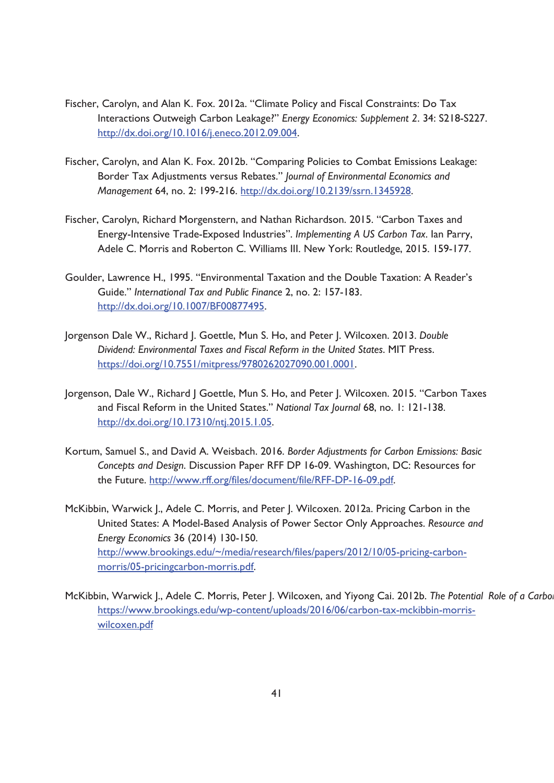- Fischer, Carolyn, and Alan K. Fox. 2012a. "Climate Policy and Fiscal Constraints: Do Tax Interactions Outweigh Carbon Leakage?" *Energy Economics: Supplement 2*. 34: S218-S227. http://dx.doi.org/10.1016/j.eneco.2012.09.004.
- Fischer, Carolyn, and Alan K. Fox. 2012b. "Comparing Policies to Combat Emissions Leakage: Border Tax Adjustments versus Rebates." *Journal of Environmental Economics and Management* 64, no. 2: 199-216. http://dx.doi.org/10.2139/ssrn.1345928.
- Fischer, Carolyn, Richard Morgenstern, and Nathan Richardson. 2015. "Carbon Taxes and Energy-Intensive Trade-Exposed Industries". *Implementing A US Carbon Tax*. Ian Parry, Adele C. Morris and Roberton C. Williams III. New York: Routledge, 2015. 159-177.
- Goulder, Lawrence H., 1995. "Environmental Taxation and the Double Taxation: A Reader's Guide." *International Tax and Public Finance* 2, no. 2: 157-183. http://dx.doi.org/10.1007/BF00877495.
- Jorgenson Dale W., Richard J. Goettle, Mun S. Ho, and Peter J. Wilcoxen. 2013. *Double Dividend: Environmental Taxes and Fiscal Reform in the United States*. MIT Press. https://doi.org/10.7551/mitpress/9780262027090.001.0001.
- Jorgenson, Dale W., Richard J Goettle, Mun S. Ho, and Peter J. Wilcoxen. 2015. "Carbon Taxes and Fiscal Reform in the United States." *National Tax Journal* 68, no. 1: 121-138. http://dx.doi.org/10.17310/ntj.2015.1.05.
- Kortum, Samuel S., and David A. Weisbach. 2016. *Border Adjustments for Carbon Emissions: Basic Concepts and Design*. Discussion Paper RFF DP 16-09. Washington, DC: Resources for the Future. http://www.rff.org/files/document/file/RFF-DP-16-09.pdf.
- McKibbin, Warwick J., Adele C. Morris, and Peter J. Wilcoxen. 2012a. Pricing Carbon in the United States: A Model-Based Analysis of Power Sector Only Approaches. *Resource and Energy Economics* 36 (2014) 130-150. http://www.brookings.edu/~/media/research/files/papers/2012/10/05-pricing-carbonmorris/05-pricingcarbon-morris.pdf.
- McKibbin, Warwick J., Adele C. Morris, Peter J. Wilcoxen, and Yiyong Cai. 2012b. *The Potential Role of a Carbo* https://www.brookings.edu/wp-content/uploads/2016/06/carbon-tax-mckibbin-morriswilcoxen.pdf